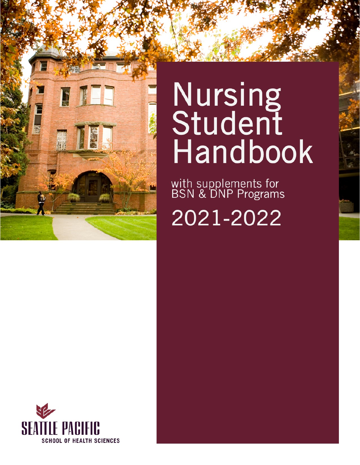

# **Nursing<br>Student** Handbook

with supplements for<br>BSN & DNP Programs

2021-2022

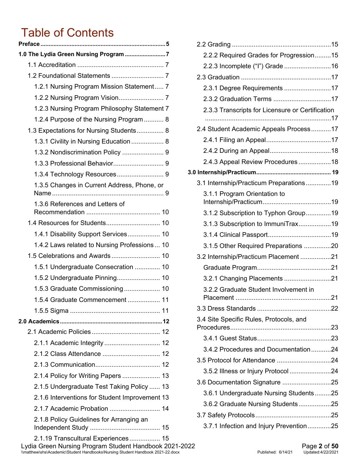## Table of Contents

| 1.0 The Lydia Green Nursing Program 7          |
|------------------------------------------------|
|                                                |
|                                                |
| 1.2.1 Nursing Program Mission Statement 7      |
|                                                |
| 1.2.3 Nursing Program Philosophy Statement 7   |
| 1.2.4 Purpose of the Nursing Program  8        |
| 1.3 Expectations for Nursing Students 8        |
| 1.3.1 Civility in Nursing Education 8          |
| 1.3.2 Nondiscrimination Policy  9              |
|                                                |
|                                                |
| 1.3.5 Changes in Current Address, Phone, or    |
| 1.3.6 References and Letters of                |
|                                                |
| 1.4.1 Disability Support Services 10           |
| 1.4.2 Laws related to Nursing Professions  10  |
| 1.5 Celebrations and Awards 10                 |
| 1.5.1 Undergraduate Consecration  10           |
|                                                |
| 1.5.3 Graduate Commissioning 10                |
| 1.5.4 Graduate Commencement  11                |
|                                                |
|                                                |
|                                                |
| 2.1.1 Academic Integrity  12                   |
| 2.1.2 Class Attendance  12                     |
|                                                |
| 2.1.4 Policy for Writing Papers  13            |
| 2.1.5 Undergraduate Test Taking Policy  13     |
| 2.1.6 Interventions for Student Improvement 13 |
| 2.1.7 Academic Probation  14                   |
| 2.1.8 Policy Guidelines for Arranging an       |
| 2 1 10 Transcultural Exneriences<br>15.        |

| 2.2.2 Required Grades for Progression15          |  |
|--------------------------------------------------|--|
| 2.2.3 Incomplete ("I") Grade 16                  |  |
|                                                  |  |
| 2.3.1 Degree Requirements 17                     |  |
| 2.3.2 Graduation Terms 17                        |  |
| 2.3.3 Transcripts for Licensure or Certification |  |
| 2.4 Student Academic Appeals Process17           |  |
|                                                  |  |
|                                                  |  |
| 2.4.3 Appeal Review Procedures 18                |  |
|                                                  |  |
| 3.1 Internship/Practicum Preparations19          |  |
| 3.1.1 Program Orientation to                     |  |
| 3.1.2 Subscription to Typhon Group19             |  |
| 3.1.3 Subscription to ImmuniTrax19               |  |
|                                                  |  |
| 3.1.5 Other Required Preparations 20             |  |
| 3.2 Internship/Practicum Placement 21            |  |
|                                                  |  |
| 3.2.1 Changing Placements 21                     |  |
| 3.2.2 Graduate Student Involvement in            |  |
|                                                  |  |
| 3.4 Site Specific Rules, Protocols, and          |  |
|                                                  |  |
| 3.4.2 Procedures and Documentation24             |  |
| 3.5 Protocol for Attendance 24                   |  |
| 3.5.2 Illness or Injury Protocol 24              |  |
| 3.6 Documentation Signature 25                   |  |
| 3.6.1 Undergraduate Nursing Students25           |  |
| 3.6.2 Graduate Nursing Students25                |  |
|                                                  |  |
| 3.7.1 Infection and Injury Prevention25          |  |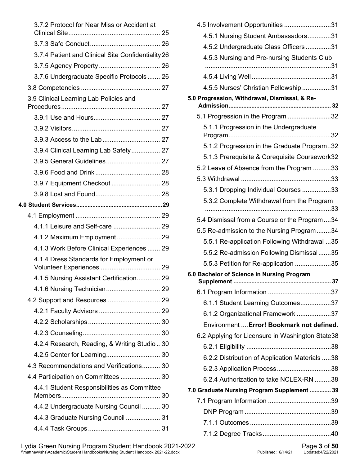| 3.7.2 Protocol for Near Miss or Accident at                          |  |
|----------------------------------------------------------------------|--|
|                                                                      |  |
| 3.7.4 Patient and Clinical Site Confidentiality 26                   |  |
|                                                                      |  |
| 3.7.6 Undergraduate Specific Protocols  26                           |  |
|                                                                      |  |
| 3.9 Clinical Learning Lab Policies and                               |  |
|                                                                      |  |
|                                                                      |  |
|                                                                      |  |
|                                                                      |  |
| 3.9.4 Clinical Learning Lab Safety 27                                |  |
| 3.9.5 General Guidelines 27                                          |  |
|                                                                      |  |
| 3.9.7 Equipment Checkout  28                                         |  |
|                                                                      |  |
|                                                                      |  |
|                                                                      |  |
| 4.1.1 Leisure and Self-care  29                                      |  |
| 4.1.2 Maximum Employment 29                                          |  |
| 4.1.3 Work Before Clinical Experiences  29                           |  |
| 4.1.4 Dress Standards for Employment or<br>Volunteer Experiences  29 |  |
| 4.1.5 Nursing Assistant Certification 29                             |  |
|                                                                      |  |
| 4.2 Support and Resources  29                                        |  |
|                                                                      |  |
|                                                                      |  |
|                                                                      |  |
| 4.2.4 Research, Reading, & Writing Studio 30                         |  |
| 4.2.5 Center for Learning 30                                         |  |
| 4.3 Recommendations and Verifications 30                             |  |
| 4.4 Participation on Committees  30                                  |  |
| 4.4.1 Student Responsibilities as Committee                          |  |
| 4.4.2 Undergraduate Nursing Council  30                              |  |
| 4.4.3 Graduate Nursing Council  31                                   |  |
|                                                                      |  |

| 4.5 Involvement Opportunities 31                 |
|--------------------------------------------------|
| 4.5.1 Nursing Student Ambassadors31              |
| 4.5.2 Undergraduate Class Officers 31            |
| 4.5.3 Nursing and Pre-nursing Students Club      |
|                                                  |
|                                                  |
| 4.5.5 Nurses' Christian Fellowship 31            |
| 5.0 Progression, Withdrawal, Dismissal, & Re-    |
| 5.1 Progression in the Program 32                |
| 5.1.1 Progression in the Undergraduate           |
| 5.1.2 Progression in the Graduate Program32      |
| 5.1.3 Prerequisite & Corequisite Coursework32    |
| 5.2 Leave of Absence from the Program 33         |
|                                                  |
| 5.3.1 Dropping Individual Courses 33             |
| 5.3.2 Complete Withdrawal from the Program       |
|                                                  |
| 5.4 Dismissal from a Course or the Program34     |
| 5.5 Re-admission to the Nursing Program34        |
| 5.5.1 Re-application Following Withdrawal 35     |
| 5.5.2 Re-admission Following Dismissal35         |
| 5.5.3 Petition for Re-application 35             |
| 6.0 Bachelor of Science in Nursing Program       |
|                                                  |
| 6.1.1 Student Learning Outcomes37                |
| 6.1.2 Organizational Framework 37                |
| Environment  Error! Bookmark not defined.        |
| 6.2 Applying for Licensure in Washington State38 |
|                                                  |
| 6.2.2 Distribution of Application Materials 38   |
|                                                  |
| 6.2.4 Authorization to take NCLEX-RN 38          |
| 7.0 Graduate Nursing Program Supplement  39      |
|                                                  |
|                                                  |
|                                                  |
|                                                  |

Lydia Green Nursing Program Student Handbook 2021-2022 Page **3** of **50** \\matthew\shs\Academic\Student Handbooks\Nursing Student Handbook 2021-22.docx Published: 6/14/21 Updated:4/22/2021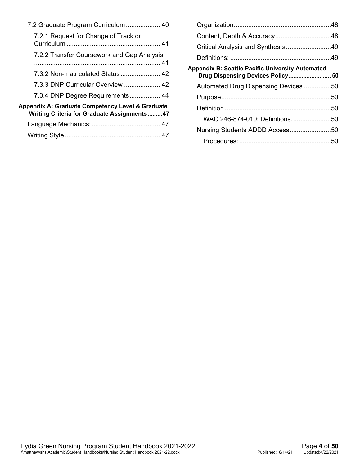| 7.2 Graduate Program Curriculum  40                                                             |
|-------------------------------------------------------------------------------------------------|
| 7.2.1 Request for Change of Track or                                                            |
|                                                                                                 |
| 7.2.2 Transfer Coursework and Gap Analysis                                                      |
|                                                                                                 |
| 7.3.2 Non-matriculated Status  42                                                               |
| 7.3.3 DNP Curricular Overview  42                                                               |
| 7.3.4 DNP Degree Requirements 44                                                                |
| Appendix A: Graduate Competency Level & Graduate<br>Writing Criteria for Graduate Assignments47 |
|                                                                                                 |
|                                                                                                 |

| Critical Analysis and Synthesis 49                                                           |  |
|----------------------------------------------------------------------------------------------|--|
|                                                                                              |  |
| <b>Appendix B: Seattle Pacific University Automated</b><br>Drug Dispensing Devices Policy 50 |  |
| Automated Drug Dispensing Devices 50                                                         |  |
|                                                                                              |  |
|                                                                                              |  |
| WAC 246-874-010: Definitions50                                                               |  |
| Nursing Students ADDD Access50                                                               |  |
|                                                                                              |  |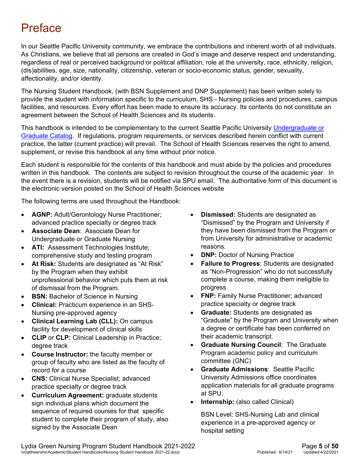## <span id="page-4-0"></span>**Preface**

In our Seattle Pacific University community, we embrace the contributions and inherent worth of all individuals. As Christians, we believe that all persons are created in God's image and deserve respect and understanding, regardless of real or perceived background or political affiliation, role at the university, race, ethnicity, religion, (dis)abilities, age, size, nationality, citizenship, veteran or socio-economic status, gender, sexuality, affectionality, and/or identity.

The Nursing Student Handbook, (with BSN Supplement and DNP Supplement) has been written solely to provide the student with information specific to the curriculum, SHS - Nursing policies and procedures, campus facilities, and resources. Every effort has been made to ensure its accuracy. Its contents do not constitute an agreement between the School of Health Sciences and its students.

This handbook is intended to be complementary to the current Seattle Pacific University [Undergraduate or](https://spu.edu/catalog)  [Graduate Catalog.](https://spu.edu/catalog) If regulations, program requirements, or services described herein conflict with current practice, the latter (current practice) will prevail. The School of Health Sciences reserves the right to amend, supplement, or revise this handbook at any time without prior notice.

Each student is responsible for the contents of this handbook and must abide by the policies and procedures written in this handbook. The contents are subject to revision throughout the course of the academic year. In the event there is a revision, students will be notified via SPU email. The authoritative form of this document is the electronic version posted on the School of Health Sciences website

The following terms are used throughout the Handbook:

- **AGNP:** Adult/Gerontology Nurse Practitioner; advanced practice specialty or degree track
- **Associate Dean**: Associate Dean for Undergraduate or Graduate Nursing
- **ATI:** Assessment Technologies Institute; comprehensive study and testing program
- **At Risk:** Students are designated as "At Risk" by the Program when they exhibit unprofessional behavior which puts them at risk of dismissal from the Program.
- **BSN:** Bachelor of Science in Nursing
- **Clinical:** Practicum experience in an SHS-Nursing pre-approved agency
- **Clinical Learning Lab (CLL):** On campus facility for development of clinical skills
- **CLIP** or **CLP:** Clinical Leadership in Practice; degree track
- **Course Instructor:** the faculty member or group of faculty who are listed as the faculty of record for a course
- **CNS:** Clinical Nurse Specialist; advanced practice specialty or degree track
- **Curriculum Agreement:** graduate students sign individual plans which document the sequence of required courses for that specific student to complete their program of study, also signed by the Associate Dean
- **Dismissed:** Students are designated as "Dismissed" by the Program and University if they have been dismissed from the Program or from University for administrative or academic reasons.
- **DNP:** Doctor of Nursing Practice
- **Failure to Progress**: Students are designated as "Non-Progression" who do not successfully complete a course, making them ineligible to progress
- **FNP: Family Nurse Practitioner; advanced** practice specialty or degree track
- **Graduate:** Students are designated as "Graduate" by the Program and University when a degree or certificate has been conferred on their academic transcript.
- **Graduate Nursing Council**: The Graduate Program academic policy and curriculum committee (GNC)
- **Graduate Admissions**: Seattle Pacific University Admissions office coordinates application materials for all graduate programs at SPU.
- **Internship:** (also called Clinical)

BSN Level: SHS-Nursing Lab and clinical experience in a pre-approved agency or hospital setting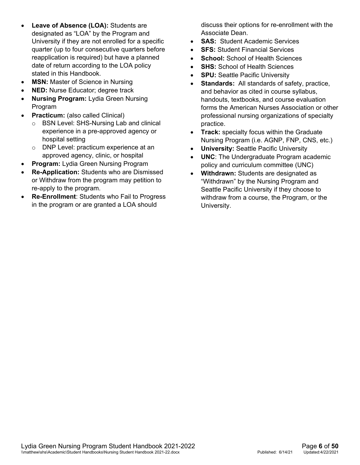- **Leave of Absence (LOA):** Students are designated as "LOA" by the Program and University if they are not enrolled for a specific quarter (up to four consecutive quarters before reapplication is required) but have a planned date of return according to the LOA policy stated in this Handbook.
- **MSN:** Master of Science in Nursing
- **NED:** Nurse Educator; degree track
- **Nursing Program:** Lydia Green Nursing Program
- **Practicum:** (also called Clinical)
	- o BSN Level: SHS-Nursing Lab and clinical experience in a pre-approved agency or hospital setting
	- o DNP Level: practicum experience at an approved agency, clinic, or hospital
- **Program:** Lydia Green Nursing Program
- **Re-Application:** Students who are Dismissed or Withdraw from the program may petition to re-apply to the program.
- **Re-Enrollment**: Students who Fail to Progress in the program or are granted a LOA should

discuss their options for re-enrollment with the Associate Dean.

- **SAS:** Student Academic Services
- **SFS: Student Financial Services**
- **School:** School of Health Sciences
- **SHS:** School of Health Sciences
- **SPU:** Seattle Pacific University
- **Standards:** All standards of safety, practice, and behavior as cited in course syllabus, handouts, textbooks, and course evaluation forms the American Nurses Association or other professional nursing organizations of specialty practice.
- **Track:** specialty focus within the Graduate Nursing Program (i.e. AGNP, FNP, CNS, etc.)
- **University:** Seattle Pacific University
- **UNC**: The Undergraduate Program academic policy and curriculum committee (UNC)
- **Withdrawn:** Students are designated as "Withdrawn" by the Nursing Program and Seattle Pacific University if they choose to withdraw from a course, the Program, or the University.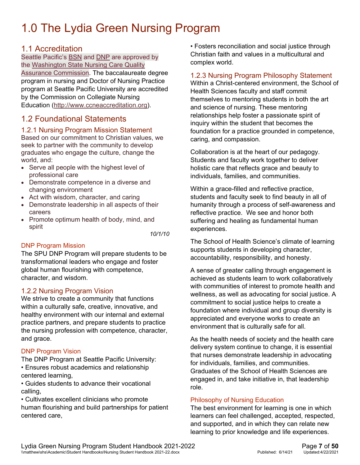## <span id="page-6-0"></span>1.0 The Lydia Green Nursing Program

#### <span id="page-6-1"></span>1.1 Accreditation

Seattle Pacific's [BSN](https://spu.edu/academics/school-of-health-sciences/undergraduate-programs/nursing) and [DNP](http://spu.edu/academics/school-of-health-sciences/graduate-nursing-program/dnp-pathways) are approved by the [Washington](http://www.doh.wa.gov/LicensesPermitsandCertificates/NursingCommission) State Nursing Care Quality Assurance [Commission.](http://www.doh.wa.gov/LicensesPermitsandCertificates/NursingCommission) The baccalaureate degree program in nursing and Doctor of Nursing Practice program at Seattle Pacific University are accredited by the Commission on Collegiate Nursing Education [\(http://www.ccneaccreditation.org\)](http://www.ccneaccreditation.org/).

#### <span id="page-6-2"></span>1.2 Foundational Statements

#### <span id="page-6-3"></span>1.2.1 Nursing Program Mission Statement

Based on our commitment to Christian values, we seek to partner with the community to develop graduates who engage the culture, change the world, and:

- Serve all people with the highest level of professional care
- Demonstrate competence in a diverse and changing environment
- Act with wisdom, character, and caring
- Demonstrate leadership in all aspects of their careers
- Promote optimum health of body, mind, and spirit

*10/1/10*

#### DNP Program Mission

The SPU DNP Program will prepare students to be transformational leaders who engage and foster global human flourishing with competence, character, and wisdom.

#### <span id="page-6-6"></span><span id="page-6-4"></span>1.2.2 Nursing Program Vision

We strive to create a community that functions within a culturally safe, creative, innovative, and healthy environment with our internal and external practice partners, and prepare students to practice the nursing profession with competence, character, and grace.

#### DNP Program Vision

The DNP Program at Seattle Pacific University: • Ensures robust academics and relationship centered learning,

• Guides students to advance their vocational calling,

• Cultivates excellent clinicians who promote human flourishing and build partnerships for patient centered care,

• Fosters reconciliation and social justice through Christian faith and values in a multicultural and complex world.

#### <span id="page-6-5"></span>1.2.3 Nursing Program Philosophy Statement

Within a Christ-centered environment, the School of Health Sciences faculty and staff commit themselves to mentoring students in both the art and science of nursing. These mentoring relationships help foster a passionate spirit of inquiry within the student that becomes the foundation for a practice grounded in competence, caring, and compassion.

Collaboration is at the heart of our pedagogy. Students and faculty work together to deliver holistic care that reflects grace and beauty to individuals, families, and communities.

Within a grace-filled and reflective practice, students and faculty seek to find beauty in all of humanity through a process of self-awareness and reflective practice. We see and honor both suffering and healing as fundamental human experiences.

The School of Health Science's climate of learning supports students in developing character, accountability, responsibility, and honesty.

A sense of greater calling through engagement is achieved as students learn to work collaboratively with communities of interest to promote health and wellness, as well as advocating for social justice. A commitment to social justice helps to create a foundation where individual and group diversity is appreciated and everyone works to create an environment that is culturally safe for all.

As the health needs of society and the health care delivery system continue to change, it is essential that nurses demonstrate leadership in advocating for individuals, families, and communities. Graduates of the School of Health Sciences are engaged in, and take initiative in, that leadership role.

#### Philosophy of Nursing Education

The best environment for learning is one in which learners can feel challenged, accepted, respected, and supported, and in which they can relate new learning to prior knowledge and life experiences.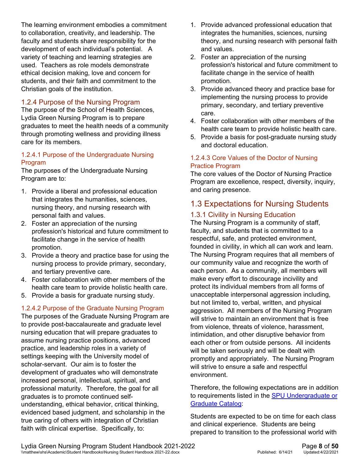The learning environment embodies a commitment to collaboration, creativity, and leadership. The faculty and students share responsibility for the development of each individual's potential. A variety of teaching and learning strategies are used. Teachers as role models demonstrate ethical decision making, love and concern for students, and their faith and commitment to the Christian goals of the institution.

#### <span id="page-7-0"></span>1.2.4 Purpose of the Nursing Program

The purpose of the School of Health Sciences, Lydia Green Nursing Program is to prepare graduates to meet the health needs of a community through promoting wellness and providing illness care for its members.

#### 1.2.4.1 Purpose of the Undergraduate Nursing Program

The purposes of the Undergraduate Nursing Program are to:

- 1. Provide a liberal and professional education that integrates the humanities, sciences, nursing theory, and nursing research with personal faith and values.
- 2. Foster an appreciation of the nursing profession's historical and future commitment to facilitate change in the service of health promotion.
- 3. Provide a theory and practice base for using the nursing process to provide primary, secondary, and tertiary preventive care.
- 4. Foster collaboration with other members of the health care team to provide holistic health care.
- 5. Provide a basis for graduate nursing study.

#### 1.2.4.2 Purpose of the Graduate Nursing Program

The purposes of the Graduate Nursing Program are to provide post-baccalaureate and graduate level nursing education that will prepare graduates to assume nursing practice positions, advanced practice, and leadership roles in a variety of settings keeping with the University model of scholar-servant. Our aim is to foster the development of graduates who will demonstrate increased personal, intellectual, spiritual, and professional maturity. Therefore, the goal for all graduates is to promote continued selfunderstanding, ethical behavior, critical thinking, evidenced based judgment, and scholarship in the true caring of others with integration of Christian faith with clinical expertise. Specifically, to:

- 1. Provide advanced professional education that integrates the humanities, sciences, nursing theory, and nursing research with personal faith and values.
- 2. Foster an appreciation of the nursing profession's historical and future commitment to facilitate change in the service of health promotion.
- 3. Provide advanced theory and practice base for implementing the nursing process to provide primary, secondary, and tertiary preventive care.
- 4. Foster collaboration with other members of the health care team to provide holistic health care.
- 5. Provide a basis for post-graduate nursing study and doctoral education.

#### 1.2.4.3 Core Values of the Doctor of Nursing Practice Program

The core values of the Doctor of Nursing Practice Program are excellence, respect, diversity, inquiry, and caring presence.

#### <span id="page-7-1"></span>1.3 Expectations for Nursing Students

#### <span id="page-7-2"></span>1.3.1 Civility in Nursing Education

The Nursing Program is a community of staff, faculty, and students that is committed to a respectful, safe, and protected environment, founded in civility, in which all can work and learn. The Nursing Program requires that all members of our community value and recognize the worth of each person. As a community, all members will make every effort to discourage incivility and protect its individual members from all forms of unacceptable interpersonal aggression including, but not limited to, verbal, written, and physical aggression. All members of the Nursing Program will strive to maintain an environment that is free from violence, threats of violence, harassment, intimidation, and other disruptive behavior from each other or from outside persons. All incidents will be taken seriously and will be dealt with promptly and appropriately. The Nursing Program will strive to ensure a safe and respectful environment.

Therefore, the following expectations are in addition to requirements listed in the [SPU Undergraduate or](https://spu.edu/catalog)  [Graduate Catalog:](https://spu.edu/catalog)

Students are expected to be on time for each class and clinical experience. Students are being prepared to transition to the professional world with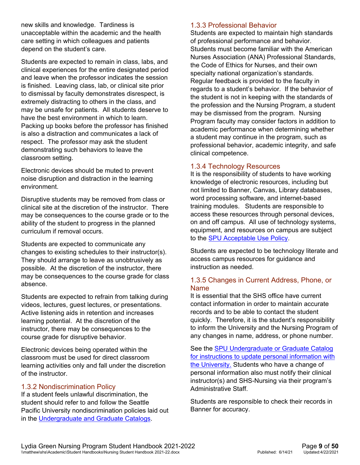new skills and knowledge. Tardiness is unacceptable within the academic and the health care setting in which colleagues and patients depend on the student's care.

Students are expected to remain in class, labs, and clinical experiences for the entire designated period and leave when the professor indicates the session is finished. Leaving class, lab, or clinical site prior to dismissal by faculty demonstrates disrespect, is extremely distracting to others in the class, and may be unsafe for patients. All students deserve to have the best environment in which to learn. Packing up books before the professor has finished is also a distraction and communicates a lack of respect. The professor may ask the student demonstrating such behaviors to leave the classroom setting.

Electronic devices should be muted to prevent noise disruption and distraction in the learning environment.

Disruptive students may be removed from class or clinical site at the discretion of the instructor. There may be consequences to the course grade or to the ability of the student to progress in the planned curriculum if removal occurs.

Students are expected to communicate any changes to existing schedules to their instructor(s). They should arrange to leave as unobtrusively as possible. At the discretion of the instructor, there may be consequences to the course grade for class absence.

Students are expected to refrain from talking during videos, lectures, guest lectures, or presentations. Active listening aids in retention and increases learning potential. At the discretion of the instructor, there may be consequences to the course grade for disruptive behavior.

Electronic devices being operated within the classroom must be used for direct classroom learning activities only and fall under the discretion of the instructor.

#### <span id="page-8-0"></span>1.3.2 Nondiscrimination Policy

If a student feels unlawful discrimination, the student should refer to and follow the Seattle Pacific University nondiscrimination policies laid out in the [Undergraduate and Graduate Catalogs.](https://spu.edu/catalog)

#### <span id="page-8-1"></span>1.3.3 Professional Behavior

Students are expected to maintain high standards of professional performance and behavior. Students must become familiar with the American Nurses Association (ANA) Professional Standards, the Code of Ethics for Nurses, and their own specialty national organization's standards. Regular feedback is provided to the faculty in regards to a student's behavior. If the behavior of the student is not in keeping with the standards of the profession and the Nursing Program, a student may be dismissed from the program. Nursing Program faculty may consider factors in addition to academic performance when determining whether a student may continue in the program, such as professional behavior, academic integrity, and safe clinical competence.

#### <span id="page-8-2"></span>1.3.4 Technology Resources

It is the responsibility of students to have working knowledge of electronic resources, including but not limited to Banner, Canvas, Library databases, word processing software, and internet-based training modules. Students are responsible to access these resources through personal devices, on and off campus. All use of technology systems, equipment, and resources on campus are subject to the [SPU Acceptable Use Policy.](https://wiki.spu.edu/display/CIS/Computer+Acceptable+Use)

Students are expected to be technology literate and access campus resources for guidance and instruction as needed.

#### <span id="page-8-3"></span>1.3.5 Changes in Current Address, Phone, or Name

It is essential that the SHS office have current contact information in order to maintain accurate records and to be able to contact the student quickly. Therefore, it is the student's responsibility to inform the University and the Nursing Program of any changes in name, address, or phone number.

See the [SPU Undergraduate or Graduate Catalog](https://spu.edu/catalog) for instructions to update personal information with the University. Students who have a change of personal information also must notify their clinical instructor(s) and SHS-Nursing via their program's Administrative Staff.

Students are responsible to check their records in Banner for accuracy.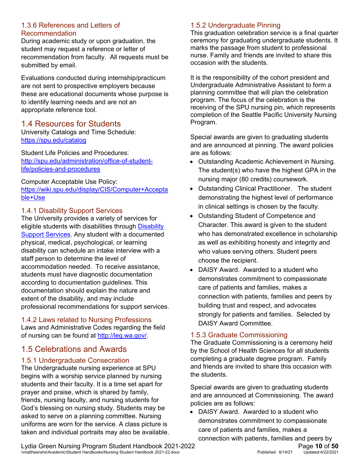#### <span id="page-9-0"></span>1.3.6 References and Letters of Recommendation

During academic study or upon graduation, the student may request a reference or letter of recommendation from faculty. All requests must be submitted by email.

Evaluations conducted during internship/practicum are not sent to prospective employers because these are educational documents whose purpose is to identify learning needs and are not an appropriate reference tool.

#### <span id="page-9-1"></span>1.4 Resources for Students

University Catalogs and Time Schedule: <https://spu.edu/catalog>

Student Life Policies and Procedures: [http://spu.edu/administration/office-of-student](http://spu.edu/administration/office-of-student-life/policies-and-procedures)[life/policies-and-procedures](http://spu.edu/administration/office-of-student-life/policies-and-procedures)

Computer Acceptable Use Policy: [https://wiki.spu.edu/display/CIS/Computer+Accepta](https://wiki.spu.edu/display/CIS/Computer+Acceptable+Use) [ble+Use](https://wiki.spu.edu/display/CIS/Computer+Acceptable+Use)

#### <span id="page-9-2"></span>1.4.1 Disability Support Services

The University provides a variety of services for eligible students with disabilities through **Disability** [Support Services.](http://spu.edu/administration/center-for-learning/disability-support-services) Any student with a documented physical, medical, psychological, or learning disability can schedule an intake interview with a staff person to determine the level of accommodation needed. To receive assistance, students must have diagnostic documentation according to documentation guidelines. This documentation should explain the nature and extent of the disability, and may include professional recommendations for support services.

#### <span id="page-9-3"></span>1.4.2 Laws related to Nursing Professions

Laws and Administrative Codes regarding the field of nursing can be found at [http://leg.wa.gov/.](http://leg.wa.gov/)

#### <span id="page-9-4"></span>1.5 Celebrations and Awards

#### <span id="page-9-5"></span>1.5.1 Undergraduate Consecration

The Undergraduate nursing experience at SPU begins with a worship service planned by nursing students and their faculty. It is a time set apart for prayer and praise, which is shared by family, friends, nursing faculty, and nursing students for God's blessing on nursing study. Students may be asked to serve on a planning committee. Nursing uniforms are worn for the service. A class picture is taken and individual portraits may also be available.

#### <span id="page-9-6"></span>1.5.2 Undergraduate Pinning

This graduation celebration service is a final quarter ceremony for graduating undergraduate students. It marks the passage from student to professional nurse. Family and friends are invited to share this occasion with the students.

It is the responsibility of the cohort president and Undergraduate Administrative Assistant to form a planning committee that will plan the celebration program. The focus of the celebration is the receiving of the SPU nursing pin, which represents completion of the Seattle Pacific University Nursing Program.

Special awards are given to graduating students and are announced at pinning. The award policies are as follows:

- Outstanding Academic Achievement in Nursing. The student(s) who have the highest GPA in the nursing major (80 credits) coursework.
- Outstanding Clinical Practitioner. The student demonstrating the highest level of performance in clinical settings is chosen by the faculty.
- Outstanding Student of Competence and Character. This award is given to the student who has demonstrated excellence in scholarship as well as exhibiting honesty and integrity and who values serving others. Student peers choose the recipient.
- DAISY Award. Awarded to a student who demonstrates commitment to compassionate care of patients and families, makes a connection with patients, families and peers by building trust and respect, and advocates strongly for patients and families. Selected by DAISY Award Committee.

#### <span id="page-9-7"></span>1.5.3 Graduate Commissioning

The Graduate Commissioning is a ceremony held by the School of Health Sciences for all students completing a graduate degree program. Family and friends are invited to share this occasion with the students.

Special awards are given to graduating students and are announced at Commissioning. The award policies are as follows:

• DAISY Award. Awarded to a student who demonstrates commitment to compassionate care of patients and families, makes a

Lydia Green Nursing Program Student Handbook 2021-2022<br>
\\matthew\shs\Academic\Student Handbooks\Nursing Student Handbook 2021-22.docx<br>
Published: 6/14/21 Updated:4/22/2021 \\matthew\shs\Academic\Student Handbooks\Nursing Student Handbook 2021-22.docx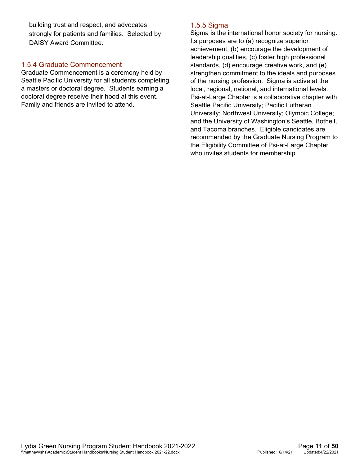building trust and respect, and advocates strongly for patients and families. Selected by DAISY Award Committee.

#### <span id="page-10-0"></span>1.5.4 Graduate Commencement

Graduate Commencement is a ceremony held by Seattle Pacific University for all students completing a masters or doctoral degree. Students earning a doctoral degree receive their hood at this event. Family and friends are invited to attend.

#### <span id="page-10-1"></span>1.5.5 Sigma

Sigma is the international honor society for nursing. Its purposes are to (a) recognize superior achievement, (b) encourage the development of leadership qualities, (c) foster high professional standards, (d) encourage creative work, and (e) strengthen commitment to the ideals and purposes of the nursing profession. Sigma is active at the local, regional, national, and international levels. [Psi-at-Large Chapter](http://psi.nursingsociety.org/home) is a collaborative chapter with Seattle Pacific University; Pacific Lutheran University; Northwest University; Olympic College; and the University of Washington's Seattle, Bothell, and Tacoma branches. Eligible candidates are recommended by the Graduate Nursing Program to the Eligibility Committee of Psi-at-Large Chapter who invites students for membership.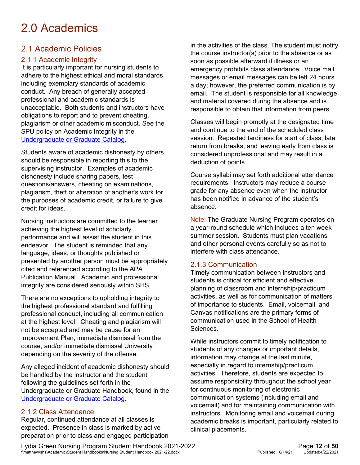## <span id="page-11-0"></span>2.0 Academics

#### <span id="page-11-1"></span>2.1 Academic Policies

#### <span id="page-11-2"></span>2.1.1 Academic Integrity

It is particularly important for nursing students to adhere to the highest ethical and moral standards, including exemplary standards of academic conduct. Any breach of generally accepted professional and academic standards is unacceptable. Both students and instructors have obligations to report and to prevent cheating, plagiarism or other academic misconduct. See the SPU policy on Academic Integrity in the [Undergraduate or Graduate Catalog.](https://spu.edu/catalog)

Students aware of academic dishonesty by others should be responsible in reporting this to the supervising instructor. Examples of academic dishonesty include sharing papers, test questions/answers, cheating on examinations, plagiarism, theft or alteration of another's work for the purposes of academic credit, or failure to give credit for ideas.

Nursing instructors are committed to the learner achieving the highest level of scholarly performance and will assist the student in this endeavor. The student is reminded that any language, ideas, or thoughts published or presented by another person must be appropriately cited and referenced according to the APA Publication Manual. Academic and professional integrity are considered seriously within SHS.

There are no exceptions to upholding integrity to the highest professional standard and fulfilling professional conduct, including all communication at the highest level. Cheating and plagiarism will not be accepted and may be cause for an Improvement Plan, immediate dismissal from the course, and/or immediate dismissal University depending on the severity of the offense.

Any alleged incident of academic dishonesty should be handled by the instructor and the student following the guidelines set forth in the Undergraduate or Graduate Handbook, found in the [Undergraduate or Graduate Catalog.](https://spu.edu/catalog)

#### <span id="page-11-3"></span>2.1.2 Class Attendance

Regular, continued attendance at all classes is expected. Presence in class is marked by active preparation prior to class and engaged participation in the activities of the class. The student must notify the course instructor(s) prior to the absence or as soon as possible afterward if illness or an emergency prohibits class attendance. Voice mail messages or email messages can be left 24 hours a day; however, the preferred communication is by email. The student is responsible for all knowledge and material covered during the absence and is responsible to obtain that information from peers.

Classes will begin promptly at the designated time and continue to the end of the scheduled class session. Repeated tardiness for start of class, late return from breaks, and leaving early from class is considered unprofessional and may result in a deduction of points.

Course syllabi may set forth additional attendance requirements. Instructors may reduce a course grade for any absence even when the instructor has been notified in advance of the student's absence.

Note: The Graduate Nursing Program operates on a year-round schedule which includes a ten week summer session. Students must plan vacations and other personal events carefully so as not to interfere with class attendance.

#### <span id="page-11-4"></span>2.1.3 Communication

Timely communication between instructors and students is critical for efficient and effective planning of classroom and internship/practicum activities, as well as for communication of matters of importance to students. Email, voicemail, and Canvas notifications are the primary forms of communication used in the School of Health Sciences.

While instructors commit to timely notification to students of any changes or important details, information may change at the last minute, especially in regard to internship/practicum activities. Therefore, students are expected to assume responsibility throughout the school year for continuous monitoring of electronic communication systems (including email and voicemail) and for maintaining communication with instructors. Monitoring email and voicemail during academic breaks is important, particularly related to clinical placements.

Lydia Green Nursing Program Student Handbook 2021-2022<br>
\\matthew\shs\Academic\Student Handbooks\Nursing Student Handbook 2021-22.docx<br>
Published: 6/14/21 Updated:4/22/2021 \\matthew\shs\Academic\Student Handbooks\Nursing Student Handbook 2021-22.docx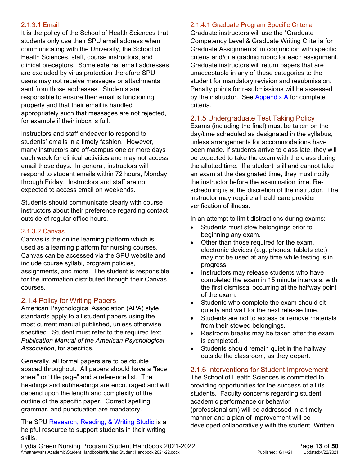#### 2.1.3.1 Email

It is the policy of the School of Health Sciences that students only use their SPU email address when communicating with the University, the School of Health Sciences, staff, course instructors, and clinical preceptors. Some external email addresses are excluded by virus protection therefore SPU users may not receive messages or attachments sent from those addresses. Students are responsible to ensure their email is functioning properly and that their email is handled appropriately such that messages are not rejected, for example if their inbox is full.

Instructors and staff endeavor to respond to students' emails in a timely fashion. However, many instructors are off-campus one or more days each week for clinical activities and may not access email those days. In general, instructors will respond to student emails within 72 hours, Monday through Friday. Instructors and staff are not expected to access email on weekends.

Students should communicate clearly with course instructors about their preference regarding contact outside of regular office hours.

#### 2.1.3.2 Canvas

Canvas is the online learning platform which is used as a learning platform for nursing courses. Canvas can be accessed via the SPU website and include course syllabi, program policies, assignments, and more. The student is responsible for the information distributed through their Canvas courses.

#### <span id="page-12-0"></span>2.1.4 Policy for Writing Papers

American Psychological Association (APA) style standards apply to all student papers using the most current manual published, unless otherwise specified. Student must refer to the required text, *Publication Manual of the American Psychological Association*, for specifics.

Generally, all formal papers are to be double spaced throughout. All papers should have a "face sheet" or "title page" and a reference list. The headings and subheadings are encouraged and will depend upon the length and complexity of the outline of the specific paper. Correct spelling, grammar, and punctuation are mandatory.

The SPU [Research, Reading, & Writing Studio](http://digitalobby.spu.edu/writingprogram/writing-center/) is a helpful resource to support students in their writing skills.

#### 2.1.4.1 Graduate Program Specific Criteria

Graduate instructors will use the "Graduate Competency Level & Graduate Writing Criteria for Graduate Assignments" in conjunction with specific criteria and/or a grading rubric for each assignment. Graduate instructors will return papers that are unacceptable in any of these categories to the student for mandatory revision and resubmission. Penalty points for resubmissions will be assessed by the instructor. See [Appendix A](#page-46-0) for complete criteria.

#### <span id="page-12-1"></span>2.1.5 Undergraduate Test Taking Policy

Exams (including the final) must be taken on the day/time scheduled as designated in the syllabus, unless arrangements for accommodations have been made. If students arrive to class late, they will be expected to take the exam with the class during the allotted time. If a student is ill and cannot take an exam at the designated time, they must notify the instructor before the examination time. Rescheduling is at the discretion of the instructor. The instructor may require a healthcare provider verification of illness.

In an attempt to limit distractions during exams:

- Students must stow belongings prior to beginning any exam.
- Other than those required for the exam, electronic devices (e.g. phones, tablets etc.) may not be used at any time while testing is in progress.
- Instructors may release students who have completed the exam in 15 minute intervals, with the first dismissal occurring at the halfway point of the exam.
- Students who complete the exam should sit quietly and wait for the next release time.
- Students are not to access or remove materials from their stowed belongings.
- Restroom breaks may be taken after the exam is completed.
- Students should remain quiet in the hallway outside the classroom, as they depart.

#### <span id="page-12-2"></span>2.1.6 Interventions for Student Improvement

The School of Health Sciences is committed to providing opportunities for the success of all its students. Faculty concerns regarding student academic performance or behavior (professionalism) will be addressed in a timely manner and a plan of improvement will be developed collaboratively with the student. Written

Lydia Green Nursing Program Student Handbook 2021-2022<br>
\\matthew\shs\Academic\Student Handbooks\Nursing Student Handbook 2021-22.docx<br>
Published: 6/14/21 Updated:4/22/2021 \\matthew\shs\Academic\Student Handbooks\Nursing Student Handbook 2021-22.docx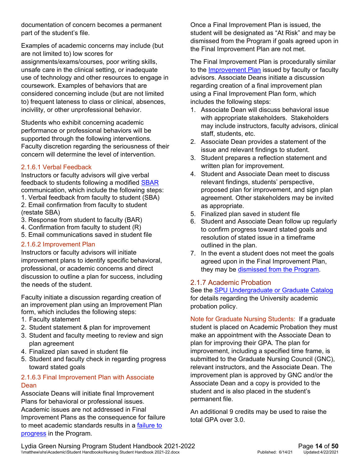documentation of concern becomes a permanent part of the student's file.

Examples of academic concerns may include (but are not limited to) low scores for assignments/exams/courses, poor writing skills, unsafe care in the clinical setting, or inadequate use of technology and other resources to engage in coursework. Examples of behaviors that are considered concerning include (but are not limited to) frequent lateness to class or clinical, absences, incivility, or other unprofessional behavior.

Students who exhibit concerning academic performance or professional behaviors will be supported through the following interventions. Faculty discretion regarding the seriousness of their concern will determine the level of intervention.

#### 2.1.6.1 Verbal Feedback

Instructors or faculty advisors will give verbal feedback to students following a modified [SBAR](https://www.ahrq.gov/professionals/systems/long-term-care/resources/facilities/ptsafety/ltcmod2ap.html)  communication, which include the following steps: 1. Verbal feedback from faculty to student (SBA)

- 2. Email confirmation from faculty to student (restate SBA)
- 3. Response from student to faculty (BAR)
- 4. Confirmation from faculty to student (R)
- 5. Email communications saved in student file

#### <span id="page-13-1"></span>2.1.6.2 Improvement Plan

Instructors or faculty advisors will initiate improvement plans to identify specific behavioral, professional, or academic concerns and direct discussion to outline a plan for success, including the needs of the student.

Faculty initiate a discussion regarding creation of an improvement plan using an Improvement Plan form, which includes the following steps:

- 1. Faculty statement
- 2. Student statement & plan for improvement
- 3. Student and faculty meeting to review and sign plan agreement
- 4. Finalized plan saved in student file
- 5. Student and faculty check in regarding progress toward stated goals

#### 2.1.6.3 Final Improvement Plan with Associate **Dean**

Associate Deans will initiate final Improvement Plans for behavioral or professional issues. Academic issues are not addressed in Final Improvement Plans as the consequence for failure to meet academic standards results in a [failure to](#page-31-1)  [progress](#page-31-1) in the Program.

Once a Final Improvement Plan is issued, the student will be designated as "At Risk" and may be dismissed from the Program if goals agreed upon in the Final Improvement Plan are not met.

The Final Improvement Plan is procedurally similar to the [Improvement Plan](#page-13-1) issued by faculty or faculty advisors. Associate Deans initiate a discussion regarding creation of a final improvement plan using a Final Improvement Plan form, which includes the following steps:

- 1. Associate Dean will discuss behavioral issue with appropriate stakeholders. Stakeholders may include instructors, faculty advisors, clinical staff, students, etc.
- 2. Associate Dean provides a statement of the issue and relevant findings to student.
- 3. Student prepares a reflection statement and written plan for improvement.
- 4. Student and Associate Dean meet to discuss relevant findings, students' perspective, proposed plan for improvement, and sign plan agreement. Other stakeholders may be invited as appropriate.
- 5. Finalized plan saved in student file
- 6. Student and Associate Dean follow up regularly to confirm progress toward stated goals and resolution of stated issue in a timeframe outlined in the plan.
- 7. In the event a student does not meet the goals agreed upon in the Final Improvement Plan, they may be [dismissed from the Program.](#page-33-0)

#### <span id="page-13-0"></span>2.1.7 Academic Probation

See the **SPU Undergraduate or Graduate Catalog** for details regarding the University academic probation policy.

Note for Graduate Nursing Students: If a graduate student is placed on Academic Probation they must make an appointment with the Associate Dean to plan for improving their GPA. The plan for improvement, including a specified time frame, is submitted to the Graduate Nursing Council (GNC), relevant instructors, and the Associate Dean. The improvement plan is approved by GNC and/or the Associate Dean and a copy is provided to the student and is also placed in the student's permanent file.

An additional 9 credits may be used to raise the total GPA over 3.0.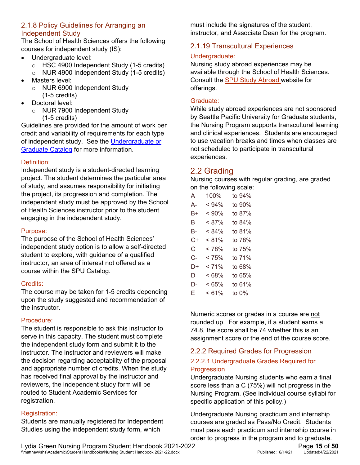#### <span id="page-14-0"></span>2.1.8 Policy Guidelines for Arranging an Independent Study

The School of Health Sciences offers the following courses for independent study (IS):

- Undergraduate level:
	- o HSC 4900 Independent Study (1-5 credits)
	- o NUR 4900 Independent Study (1-5 credits)
- Masters level:
	- o NUR 6900 Independent Study (1-5 credits)
- Doctoral level:
	- o NUR 7900 Independent Study (1-5 credits)

Guidelines are provided for the amount of work per credit and variability of requirements for each type of independent study. See the [Undergraduate or](https://spu.edu/catalog)  [Graduate Catalog](https://spu.edu/catalog) for more information.

#### Definition:

Independent study is a student-directed learning project. The student determines the particular area of study, and assumes responsibility for initiating the project, its progression and completion. The independent study must be approved by the School of Health Sciences instructor prior to the student engaging in the independent study.

#### Purpose:

The purpose of the School of Health Sciences' independent study option is to allow a self-directed student to explore, with guidance of a qualified instructor, an area of interest not offered as a course within the SPU Catalog.

#### Credits:

The course may be taken for 1-5 credits depending upon the study suggested and recommendation of the instructor.

#### Procedure:

The student is responsible to ask this instructor to serve in this capacity. The student must complete the independent study form and submit it to the instructor. The instructor and reviewers will make the decision regarding acceptability of the proposal and appropriate number of credits. When the study has received final approval by the instructor and reviewers, the independent study form will be routed to Student Academic Services for registration.

#### Registration:

Students are manually registered for Independent Studies using the independent study form, which

must include the signatures of the student, instructor, and Associate Dean for the program.

#### <span id="page-14-1"></span>2.1.19 Transcultural Experiences

#### Undergraduate:

Nursing study abroad experiences may be available through the School of Health Sciences. Consult the [SPU Study Abroad](https://studyabroad.spu.edu/) website for offerings.

#### Graduate:

While study abroad experiences are not sponsored by Seattle Pacific University for Graduate students, the Nursing Program supports transcultural learning and clinical experiences. Students are encouraged to use vacation breaks and times when classes are not scheduled to participate in transcultural experiences.

#### <span id="page-14-2"></span>2.2 Grading

Nursing courses with regular grading, are graded on the following scale:

| A  | 100%     | to 94%   |
|----|----------|----------|
| А- | $< 94\%$ | to 90%   |
| B+ | < 90%    | to 87%   |
| B  | $< 87\%$ | to 84%   |
| B- | $< 84\%$ | to 81%   |
| C+ | < 81%    | to 78%   |
| C. | < 78%    | to 75%   |
| C- | < 75%    | to 71%   |
| D+ | < 71%    | to 68%   |
| D  | <68%     | to 65%   |
| D- | < 65%    | to 61%   |
| E. | $< 61\%$ | to $0\%$ |

Numeric scores or grades in a course are not rounded up. For example, if a student earns a 74.8, the score shall be 74 whether this is an assignment score or the end of the course score.

#### <span id="page-14-3"></span>2.2.2 Required Grades for Progression

#### <span id="page-14-4"></span>2.2.2.1 Undergraduate Grades Required for **Progression**

Undergraduate Nursing students who earn a final score less than a C (75%) will not progress in the Nursing Program. (See individual course syllabi for specific application of this policy.)

Undergraduate Nursing practicum and internship courses are graded as Pass/No Credit. Students must pass each practicum and internship course in order to progress in the program and to graduate.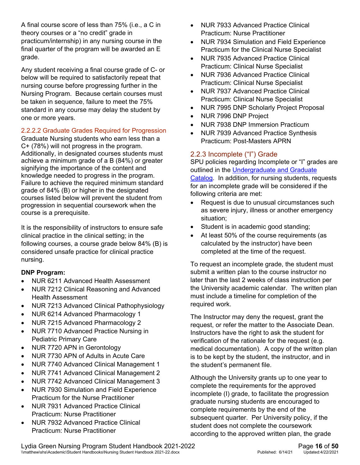A final course score of less than 75% (i.e., a C in theory courses or a "no credit" grade in practicum/internship) in any nursing course in the final quarter of the program will be awarded an E grade.

Any student receiving a final course grade of C- or below will be required to satisfactorily repeat that nursing course before progressing further in the Nursing Program. Because certain courses must be taken in sequence, failure to meet the 75% standard in any course may delay the student by one or more years.

#### <span id="page-15-1"></span>2.2.2.2 Graduate Grades Required for Progression

Graduate Nursing students who earn less than a C+ (78%) will not progress in the program. Additionally, in designated courses students must achieve a minimum grade of a B (84%) or greater signifying the importance of the content and knowledge needed to progress in the program. Failure to achieve the required minimum standard grade of 84% (B) or higher in the designated courses listed below will prevent the student from progression in sequential coursework when the course is a prerequisite.

It is the responsibility of instructors to ensure safe clinical practice in the clinical setting; in the following courses, a course grade below 84% (B) is considered unsafe practice for clinical practice nursing.

#### **DNP Program:**

- NUR 6211 Advanced Health Assessment
- NUR 7212 Clinical Reasoning and Advanced Health Assessment
- NUR 7213 Advanced Clinical Pathophysiology
- NUR 6214 Advanced Pharmacology 1
- NUR 7215 Advanced Pharmacology 2
- NUR 7710 Advanced Practice Nursing in Pediatric Primary Care
- NUR 7720 APN in Gerontology
- NUR 7730 APN of Adults in Acute Care
- NUR 7740 Advanced Clinical Management 1
- NUR 7741 Advanced Clinical Management 2
- NUR 7742 Advanced Clinical Management 3
- NUR 7930 Simulation and Field Experience Practicum for the Nurse Practitioner
- NUR 7931 Advanced Practice Clinical Practicum: Nurse Practitioner
- NUR 7932 Advanced Practice Clinical Practicum: Nurse Practitioner
- NUR 7933 Advanced Practice Clinical Practicum: Nurse Practitioner
- NUR 7934 Simulation and Field Experience Practicum for the Clinical Nurse Specialist
- NUR 7935 Advanced Practice Clinical Practicum: Clinical Nurse Specialist
- NUR 7936 Advanced Practice Clinical Practicum: Clinical Nurse Specialist
- NUR 7937 Advanced Practice Clinical Practicum: Clinical Nurse Specialist
- NUR 7995 DNP Scholarly Project Proposal
- NUR 7996 DNP Project
- NUR 7938 DNP Immersion Practicum
- NUR 7939 Advanced Practice Synthesis Practicum: Post-Masters APRN

#### <span id="page-15-0"></span>2.2.3 Incomplete ("I") Grade

SPU policies regarding Incomplete or "I" grades are outlined in the [Undergraduate and Graduate](https://spu.edu/catalog)  [Catalog.](https://spu.edu/catalog) In addition, for nursing students, requests for an incomplete grade will be considered if the following criteria are met:

- Request is due to unusual circumstances such as severe injury, illness or another emergency situation;
- Student is in academic good standing;
- At least 50% of the course requirements (as calculated by the instructor) have been completed at the time of the request.

To request an incomplete grade, the student must submit a written plan to the course instructor no later than the last 2 weeks of class instruction per the University academic calendar. The written plan must include a timeline for completion of the required work.

The Instructor may deny the request, grant the request, or refer the matter to the Associate Dean. Instructors have the right to ask the student for verification of the rationale for the request (e.g. medical documentation). A copy of the written plan is to be kept by the student, the instructor, and in the student's permanent file.

Although the University grants up to one year to complete the requirements for the approved incomplete (I) grade, to facilitate the progression graduate nursing students are encouraged to complete requirements by the end of the subsequent quarter. Per University policy, if the student does not complete the coursework according to the approved written plan, the grade

Lydia Green Nursing Program Student Handbook 2021-2022<br>
\\matthew\shs\Academic\Student Handbooks\Nursing Student Handbook 2021-22.docx<br>
Published: 6/14/21 Updated:4/22/2021 \\matthew\shs\Academic\Student Handbooks\Nursing Student Handbook 2021-22.docx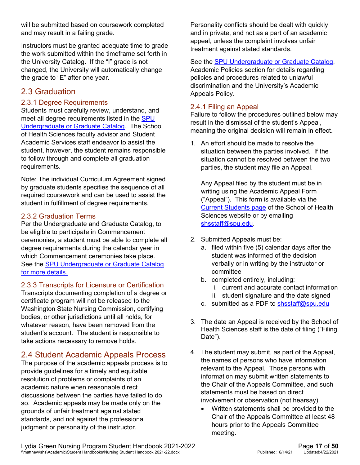will be submitted based on coursework completed and may result in a failing grade.

Instructors must be granted adequate time to grade the work submitted within the timeframe set forth in the University Catalog. If the "I" grade is not changed, the University will automatically change the grade to "E" after one year.

#### <span id="page-16-0"></span>2.3 Graduation

#### <span id="page-16-1"></span>2.3.1 Degree Requirements

Students must carefully review, understand, and meet all degree requirements listed in the SPU [Undergraduate or Graduate Catalog.](https://spu.edu/catalog) The School of Health Sciences faculty advisor and Student Academic Services staff endeavor to assist the student, however, the student remains responsible to follow through and complete all graduation requirements.

Note: The individual Curriculum Agreement signed by graduate students specifies the sequence of all required coursework and can be used to assist the student in fulfillment of degree requirements.

#### <span id="page-16-2"></span>2.3.2 Graduation Terms

Per the Undergraduate and Graduate Catalog, to be eligible to participate in Commencement ceremonies, a student must be able to complete all degree requirements during the calendar year in which Commencement ceremonies take place. See the [SPU Undergraduate or Graduate Catalog](https://spu.edu/catalog) for more details.

<span id="page-16-3"></span>2.3.3 Transcripts for Licensure or Certification

Transcripts documenting completion of a degree or certificate program will not be released to the Washington State Nursing Commission, certifying bodies, or other jurisdictions until all holds, for whatever reason, have been removed from the student's account. The student is responsible to take actions necessary to remove holds.

#### <span id="page-16-4"></span>2.4 Student Academic Appeals Process

The purpose of the academic appeals process is to provide guidelines for a timely and equitable resolution of problems or complaints of an academic nature when reasonable direct discussions between the parties have failed to do so. Academic appeals may be made only on the grounds of unfair treatment against stated standards, and not against the professional judgment or personality of the instructor.

Personality conflicts should be dealt with quickly and in private, and not as a part of an academic appeal, unless the complaint involves unfair treatment against stated standards.

See the [SPU Undergraduate or Graduate Catalog,](https://spu.edu/catalog) Academic Policies section for details regarding policies and procedures related to unlawful discrimination and the University's Academic Appeals Policy.

#### <span id="page-16-5"></span>2.4.1 Filing an Appeal

Failure to follow the procedures outlined below may result in the dismissal of the student's Appeal, meaning the original decision will remain in effect.

1. An effort should be made to resolve the situation between the parties involved. If the situation cannot be resolved between the two parties, the student may file an Appeal.

Any Appeal filed by the student must be in writing using the Academic Appeal Form ("Appeal"). This form is available via the [Current Students page](https://spu.edu/academics/school-of-health-sciences/current-students) of the School of Health Sciences website or by emailing [shsstaff@spu.edu.](mailto:shsstaff@spu.edu)

- 2. Submitted Appeals must be:
	- a. filed within five (5) calendar days after the student was informed of the decision verbally or in writing by the instructor or committee
	- b. completed entirely, including:
		- i. current and accurate contact information
		- ii. student signature and the date signed
	- c. submitted as a PDF to [shsstaff@spu.edu](mailto:shsstaff@spu.edu?subject=Academic%20Appeal)
- 3. The date an Appeal is received by the School of Health Sciences staff is the date of filing ("Filing Date").
- 4. The student may submit, as part of the Appeal, the names of persons who have information relevant to the Appeal. Those persons with information may submit written statements to the Chair of the Appeals Committee, and such statements must be based on direct involvement or observation (not hearsay).
	- Written statements shall be provided to the Chair of the Appeals Committee at least 48 hours prior to the Appeals Committee meeting.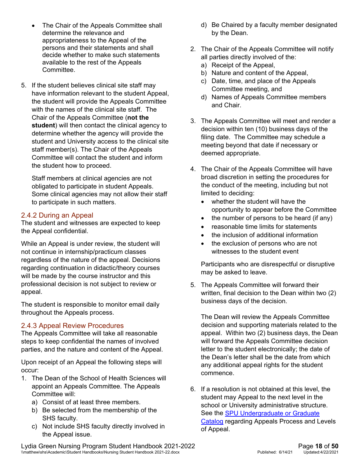- The Chair of the Appeals Committee shall determine the relevance and appropriateness to the Appeal of the persons and their statements and shall decide whether to make such statements available to the rest of the Appeals Committee.
- 5. If the student believes clinical site staff may have information relevant to the student Appeal, the student will provide the Appeals Committee with the names of the clinical site staff. The Chair of the Appeals Committee (**not the student**) will then contact the clinical agency to determine whether the agency will provide the student and University access to the clinical site staff member(s). The Chair of the Appeals Committee will contact the student and inform the student how to proceed.

Staff members at clinical agencies are not obligated to participate in student Appeals. Some clinical agencies may not allow their staff to participate in such matters.

#### <span id="page-17-0"></span>2.4.2 During an Appeal

The student and witnesses are expected to keep the Appeal confidential.

While an Appeal is under review, the student will not continue in internship/practicum classes regardless of the nature of the appeal. Decisions regarding continuation in didactic/theory courses will be made by the course instructor and this professional decision is not subject to review or appeal.

The student is responsible to monitor email daily throughout the Appeals process.

#### <span id="page-17-1"></span>2.4.3 Appeal Review Procedures

The Appeals Committee will take all reasonable steps to keep confidential the names of involved parties, and the nature and content of the Appeal.

Upon receipt of an Appeal the following steps will occur:

- 1. The Dean of the School of Health Sciences will appoint an Appeals Committee. The Appeals Committee will:
	- a) Consist of at least three members.
	- b) Be selected from the membership of the SHS faculty.
	- c) Not include SHS faculty directly involved in the Appeal issue.
- d) Be Chaired by a faculty member designated by the Dean.
- 2. The Chair of the Appeals Committee will notify all parties directly involved of the:
	- a) Receipt of the Appeal,
	- b) Nature and content of the Appeal,
	- c) Date, time, and place of the Appeals Committee meeting, and
	- d) Names of Appeals Committee members and Chair.
- 3. The Appeals Committee will meet and render a decision within ten (10) business days of the filing date. The Committee may schedule a meeting beyond that date if necessary or deemed appropriate.
- 4. The Chair of the Appeals Committee will have broad discretion in setting the procedures for the conduct of the meeting, including but not limited to deciding:
	- whether the student will have the opportunity to appear before the Committee
	- the number of persons to be heard (if any)
	- reasonable time limits for statements
	- the inclusion of additional information
	- the exclusion of persons who are not witnesses to the student event

Participants who are disrespectful or disruptive may be asked to leave.

5. The Appeals Committee will forward their written, final decision to the Dean within two (2) business days of the decision.

The Dean will review the Appeals Committee decision and supporting materials related to the appeal. Within two (2) business days, the Dean will forward the Appeals Committee decision letter to the student electronically; the date of the Dean's letter shall be the date from which any additional appeal rights for the student commence.

6. If a resolution is not obtained at this level, the student may Appeal to the next level in the school or University administrative structure. See the [SPU Undergraduate or Graduate](https://spu.edu/catalog)  [Catalog](https://spu.edu/catalog) regarding Appeals Process and Levels of Appeal.

Lydia Green Nursing Program Student Handbook 2021-2022<br>
\\matthew\shs\Academic\Student Handbooks\Nursing Student Handbook 2021-22.docx Published: 6/14/21 Updated:4/22/2021 \\matthew\shs\Academic\Student Handbooks\Nursing Student Handbook 2021-22.docx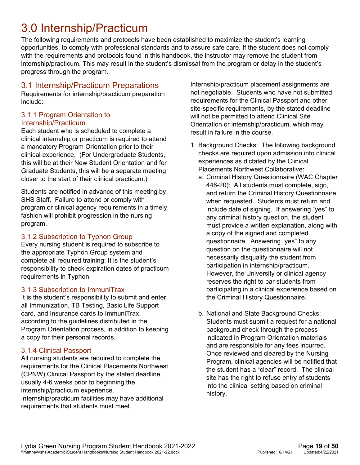## <span id="page-18-0"></span>3.0 Internship/Practicum

The following requirements and protocols have been established to maximize the student's learning opportunities, to comply with professional standards and to assure safe care. If the student does not comply with the requirements and protocols found in this handbook, the instructor may remove the student from internship/practicum. This may result in the student's dismissal from the program or delay in the student's progress through the program.

#### <span id="page-18-1"></span>3.1 Internship/Practicum Preparations

Requirements for internship/practicum preparation include:

#### <span id="page-18-2"></span>3.1.1 Program Orientation to Internship/Practicum

Each student who is scheduled to complete a clinical internship or practicum is required to attend a mandatory Program Orientation prior to their clinical experience. (For Undergraduate Students, this will be at their New Student Orientation and for Graduate Students, this will be a separate meeting closer to the start of their clinical practicum.)

Students are notified in advance of this meeting by SHS Staff. Failure to attend or comply with program or clinical agency requirements in a timely fashion will prohibit progression in the nursing program.

#### <span id="page-18-3"></span>3.1.2 Subscription to Typhon Group

Every nursing student is required to subscribe to the appropriate Typhon Group system and complete all required training: It is the student's responsibility to check expiration dates of practicum requirements in Typhon.

#### <span id="page-18-4"></span>3.1.3 Subscription to ImmuniTrax

It is the student's responsibility to submit and enter all Immunization, TB Testing, Basic Life Support card, and Insurance cards to ImmuniTrax, according to the guidelines distributed in the Program Orientation process, in addition to keeping a copy for their personal records.

#### <span id="page-18-5"></span>3.1.4 Clinical Passport

All nursing students are required to complete the requirements for the Clinical Placements Northwest (CPNW) Clinical Passport by the stated deadline, usually 4-6 weeks prior to beginning the internship/practicum experience. Internship/practicum facilities may have additional requirements that students must meet.

Internship/practicum placement assignments are not negotiable. Students who have not submitted requirements for the Clinical Passport and other site-specific requirements, by the stated deadline will not be permitted to attend Clinical Site Orientation or internship/practicum, which may result in failure in the course.

- 1. Background Checks: The following background checks are required upon admission into clinical experiences as dictated by the Clinical Placements Northwest Collaborative:
	- a. Criminal History Questionnaire (WAC Chapter 446-20): All students must complete, sign, and return the Criminal History Questionnaire when requested. Students must return and include date of signing. If answering "yes" to any criminal history question, the student must provide a written explanation, along with a copy of the signed and completed questionnaire. Answering "yes" to any question on the questionnaire will not necessarily disqualify the student from participation in internship/practicum. However, the University or clinical agency reserves the right to bar students from participating in a clinical experience based on the Criminal History Questionnaire.
	- b. National and State Background Checks: Students must submit a request for a national background check through the process indicated in Program Orientation materials and are responsible for any fees incurred. Once reviewed and cleared by the Nursing Program, clinical agencies will be notified that the student has a "clear" record. The clinical site has the right to refuse entry of students into the clinical setting based on criminal history.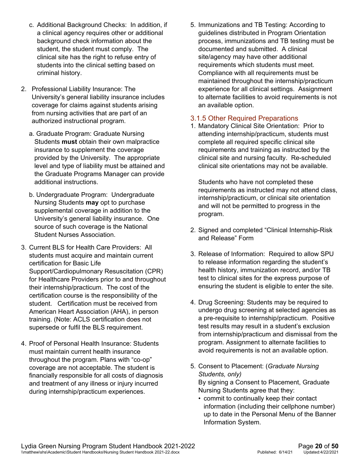- c. Additional Background Checks: In addition, if a clinical agency requires other or additional background check information about the student, the student must comply. The clinical site has the right to refuse entry of students into the clinical setting based on criminal history.
- 2. Professional Liability Insurance: The University's general liability insurance includes coverage for claims against students arising from nursing activities that are part of an authorized instructional program.
	- a. Graduate Program: Graduate Nursing Students **must** obtain their own malpractice insurance to supplement the coverage provided by the University. The appropriate level and type of liability must be attained and the Graduate Programs Manager can provide additional instructions.
	- b. Undergraduate Program: Undergraduate Nursing Students **may** opt to purchase supplemental coverage in addition to the University's general liability insurance. One source of such coverage is the National Student Nurses Association.
- 3. Current BLS for Health Care Providers: All students must acquire and maintain current certification for Basic Life Support/Cardiopulmonary Resuscitation (CPR) for Healthcare Providers prior to and throughout their internship/practicum. The cost of the certification course is the responsibility of the student. Certification must be received from American Heart Association (AHA), in person training. (Note: ACLS certification does not supersede or fulfil the BLS requirement.
- 4. Proof of Personal Health Insurance: Students must maintain current health insurance throughout the program. Plans with "co-op" coverage are not acceptable. The student is financially responsible for all costs of diagnosis and treatment of any illness or injury incurred during internship/practicum experiences.

5. Immunizations and TB Testing: According to guidelines distributed in Program Orientation process, immunizations and TB testing must be documented and submitted. A clinical site/agency may have other additional requirements which students must meet. Compliance with all requirements must be maintained throughout the internship/practicum experience for all clinical settings. Assignment to alternate facilities to avoid requirements is not an available option.

#### <span id="page-19-0"></span>3.1.5 Other Required Preparations

1. Mandatory Clinical Site Orientation: Prior to attending internship/practicum, students must complete all required specific clinical site requirements and training as instructed by the clinical site and nursing faculty. Re-scheduled clinical site orientations may not be available.

Students who have not completed these requirements as instructed may not attend class, internship/practicum, or clinical site orientation and will not be permitted to progress in the program.

- 2. Signed and completed "Clinical Internship-Risk and Release" Form
- 3. Release of Information: Required to allow SPU to release information regarding the student's health history, immunization record, and/or TB test to clinical sites for the express purpose of ensuring the student is eligible to enter the site.
- 4. Drug Screening: Students may be required to undergo drug screening at selected agencies as a pre-requisite to internship/practicum. Positive test results may result in a student's exclusion from internship/practicum and dismissal from the program. Assignment to alternate facilities to avoid requirements is not an available option.
- 5. Consent to Placement: (*Graduate Nursing Students, only)* By signing a Consent to Placement, Graduate Nursing Students agree that they:
	- commit to continually keep their contact information (including their cellphone number) up to date in the Personal Menu of the Banner Information System.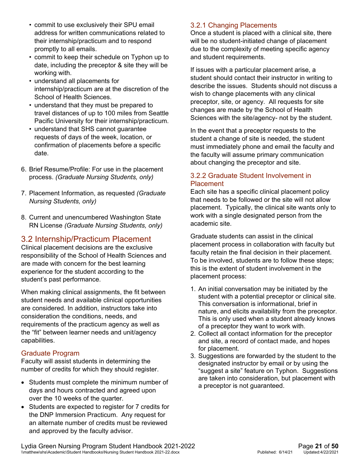- commit to use exclusively their SPU email address for written communications related to their internship/practicum and to respond promptly to all emails.
- commit to keep their schedule on Typhon up to date, including the preceptor & site they will be working with.
- understand all placements for internship/practicum are at the discretion of the School of Health Sciences.
- understand that they must be prepared to travel distances of up to 100 miles from Seattle Pacific University for their internship/practicum.
- understand that SHS cannot guarantee requests of days of the week, location, or confirmation of placements before a specific date.
- 6. Brief Resume/Profile: For use in the placement process. *(Graduate Nursing Students, only)*
- 7. Placement Information, as requested *(Graduate Nursing Students, only)*
- 8. Current and unencumbered Washington State RN License *(Graduate Nursing Students, only)*

#### <span id="page-20-0"></span>3.2 Internship/Practicum Placement

Clinical placement decisions are the exclusive responsibility of the School of Health Sciences and are made with concern for the best learning experience for the student according to the student's past performance.

When making clinical assignments, the fit between student needs and available clinical opportunities are considered. In addition, instructors take into consideration the conditions, needs, and requirements of the practicum agency as well as the "fit" between learner needs and unit/agency capabilities.

#### <span id="page-20-1"></span>Graduate Program

Faculty will assist students in determining the number of credits for which they should register.

- Students must complete the minimum number of days and hours contracted and agreed upon over the 10 weeks of the quarter.
- Students are expected to register for 7 credits for the DNP Immersion Practicum. Any request for an alternate number of credits must be reviewed and approved by the faculty advisor.

#### <span id="page-20-2"></span>3.2.1 Changing Placements

Once a student is placed with a clinical site, there will be no student-initiated change of placement due to the complexity of meeting specific agency and student requirements.

If issues with a particular placement arise, a student should contact their instructor in writing to describe the issues. Students should not discuss a wish to change placements with any clinical preceptor, site, or agency. All requests for site changes are made by the School of Health Sciences with the site/agency- not by the student.

In the event that a preceptor requests to the student a change of site is needed, the student must immediately phone and email the faculty and the faculty will assume primary communication about changing the preceptor and site.

#### <span id="page-20-3"></span>3.2.2 Graduate Student Involvement in Placement

Each site has a specific clinical placement policy that needs to be followed or the site will not allow placement. Typically, the clinical site wants only to work with a single designated person from the academic site.

Graduate students can assist in the clinical placement process in collaboration with faculty but faculty retain the final decision in their placement. To be involved, students are to follow these steps; this is the extent of student involvement in the placement process:

- 1. An initial conversation may be initiated by the student with a potential preceptor or clinical site. This conversation is informational, brief in nature, and elicits availability from the preceptor. This is only used when a student already knows of a preceptor they want to work with.
- 2. Collect all contact information for the preceptor and site, a record of contact made, and hopes for placement.
- 3. Suggestions are forwarded by the student to the designated instructor by email or by using the "suggest a site" feature on Typhon. Suggestions are taken into consideration, but placement with a preceptor is not guaranteed.

Lydia Green Nursing Program Student Handbook 2021-2022<br>
\\matthew\shs\Academic\Student Handbooks\Nursing Student Handbook 2021-22.docx Published: 6/14/21 Updated:4/22/2021 \\matthew\shs\Academic\Student Handbooks\Nursing Student Handbook 2021-22.docx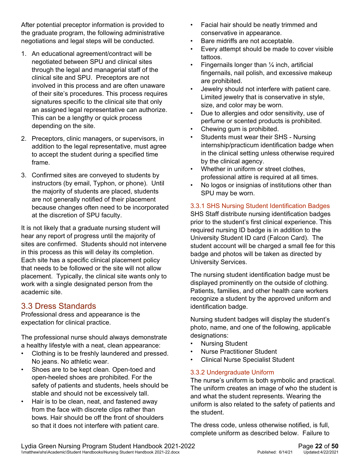After potential preceptor information is provided to the graduate program, the following administrative negotiations and legal steps will be conducted.

- 1. An educational agreement/contract will be negotiated between SPU and clinical sites through the legal and managerial staff of the clinical site and SPU. Preceptors are not involved in this process and are often unaware of their site's procedures. This process requires signatures specific to the clinical site that only an assigned legal representative can authorize. This can be a lengthy or quick process depending on the site.
- 2. Preceptors, clinic managers, or supervisors, in addition to the legal representative, must agree to accept the student during a specified time frame.
- 3. Confirmed sites are conveyed to students by instructors (by email, Typhon, or phone). Until the majority of students are placed, students are not generally notified of their placement because changes often need to be incorporated at the discretion of SPU faculty.

It is not likely that a graduate nursing student will hear any report of progress until the majority of sites are confirmed. Students should not intervene in this process as this will delay its completion. Each site has a specific clinical placement policy that needs to be followed or the site will not allow placement. Typically, the clinical site wants only to work with a single designated person from the academic site.

#### <span id="page-21-0"></span>3.3 Dress Standards

Professional dress and appearance is the expectation for clinical practice.

The professional nurse should always demonstrate a healthy lifestyle with a neat, clean appearance:

- Clothing is to be freshly laundered and pressed. No jeans. No athletic wear.
- Shoes are to be kept clean. Open-toed and open-heeled shoes are prohibited. For the safety of patients and students, heels should be stable and should not be excessively tall.
- Hair is to be clean, neat, and fastened away from the face with discrete clips rather than bows. Hair should be off the front of shoulders so that it does not interfere with patient care.
- Facial hair should be neatly trimmed and conservative in appearance.
- Bare midriffs are not acceptable.
- Every attempt should be made to cover visible tattoos.
- Fingernails longer than  $\frac{1}{4}$  inch, artificial fingernails, nail polish, and excessive makeup are prohibited.
- Jewelry should not interfere with patient care. Limited jewelry that is conservative in style, size, and color may be worn.
- Due to allergies and odor sensitivity, use of perfume or scented products is prohibited.
- Chewing gum is prohibited.
- Students must wear their SHS Nursing internship/practicum identification badge when in the clinical setting unless otherwise required by the clinical agency.
- Whether in uniform or street clothes, professional attire is required at all times.
- No logos or insignias of institutions other than SPU may be worn.

#### 3.3.1 SHS Nursing Student Identification Badges

SHS Staff distribute nursing identification badges prior to the student's first clinical experience. This required nursing ID badge is in addition to the University Student ID card (Falcon Card). The student account will be charged a small fee for this badge and photos will be taken as directed by University Services.

The nursing student identification badge must be displayed prominently on the outside of clothing. Patients, families, and other health care workers recognize a student by the approved uniform and identification badge.

Nursing student badges will display the student's photo, name, and one of the following, applicable designations:

- **Nursing Student**
- Nurse Practitioner Student
- Clinical Nurse Specialist Student

#### 3.3.2 Undergraduate Uniform

The nurse's uniform is both symbolic and practical. The uniform creates an image of who the student is and what the student represents. Wearing the uniform is also related to the safety of patients and the student.

The dress code, unless otherwise notified, is full, complete uniform as described below. Failure to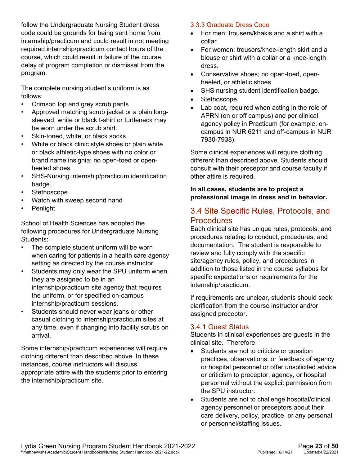follow the Undergraduate Nursing Student dress code could be grounds for being sent home from internship/practicum and could result in not meeting required internship/practicum contact hours of the course, which could result in failure of the course, delay of program completion or dismissal from the program.

The complete nursing student's uniform is as follows:

- Crimson top and grey scrub pants
- Approved matching scrub jacket or a plain longsleeved, white or black t-shirt or turtleneck may be worn under the scrub shirt.
- Skin-toned, white, or black socks
- White or black clinic style shoes or plain white or black athletic-type shoes with no color or brand name insignia; no open-toed or openheeled shoes.
- SHS-Nursing internship/practicum identification badge.
- **Stethoscope**
- Watch with sweep second hand
- Penlight

School of Health Sciences has adopted the following procedures for Undergraduate Nursing Students:

- The complete student uniform will be worn when caring for patients in a health care agency setting as directed by the course instructor.
- Students may only wear the SPU uniform when they are assigned to be in an internship/practicum site agency that requires the uniform, or for specified on-campus internship/practicum sessions.
- Students should never wear jeans or other casual clothing to internship/practicum sites at any time, even if changing into facility scrubs on arrival.

Some internship/practicum experiences will require clothing different than described above. In these instances, course instructors will discuss appropriate attire with the students prior to entering the internship/practicum site.

#### 3.3.3 Graduate Dress Code

- For men: trousers/khakis and a shirt with a collar.
- For women: trousers/knee-length skirt and a blouse or shirt with a collar or a knee-length dress.
- Conservative shoes; no open-toed, openheeled, or athletic shoes.
- SHS nursing student identification badge.
- Stethoscope.
- Lab coat, required when acting in the role of APRN (on or off campus) and per clinical agency policy in Practicum (for example, oncampus in NUR 6211 and off-campus in NUR 7930-7938).

Some clinical experiences will require clothing different than described above. Students should consult with their preceptor and course faculty if other attire is required.

#### **In all cases, students are to project a professional image in dress and in behavior.**

#### <span id="page-22-0"></span>3.4 Site Specific Rules, Protocols, and **Procedures**

Each clinical site has unique rules, protocols, and procedures relating to conduct, procedures, and documentation. The student is responsible to review and fully comply with the specific site/agency rules, policy, and procedures in addition to those listed in the course syllabus for specific expectations or requirements for the internship/practicum.

If requirements are unclear, students should seek clarification from the course instructor and/or assigned preceptor.

#### <span id="page-22-1"></span>3.4.1 Guest Status

Students in clinical experiences are guests in the clinical site. Therefore:

- Students are not to criticize or question practices, observations, or feedback of agency or hospital personnel or offer unsolicited advice or criticism to preceptor, agency, or hospital personnel without the explicit permission from the SPU instructor.
- Students are not to challenge hospital/clinical agency personnel or preceptors about their care delivery, policy, practice, or any personal or personnel/staffing issues.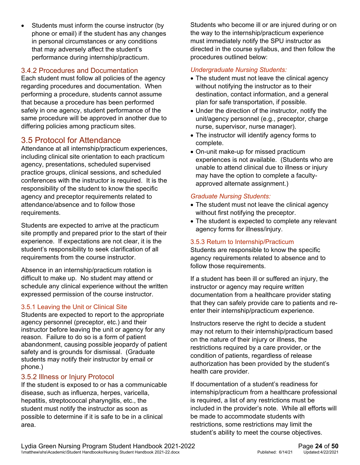Students must inform the course instructor (by phone or email) if the student has any changes in personal circumstances or any conditions that may adversely affect the student's performance during internship/practicum.

#### <span id="page-23-0"></span>3.4.2 Procedures and Documentation

Each student must follow all policies of the agency regarding procedures and documentation. When performing a procedure, students cannot assume that because a procedure has been performed safely in one agency, student performance of the same procedure will be approved in another due to differing policies among practicum sites.

#### <span id="page-23-1"></span>3.5 Protocol for Attendance

Attendance at all internship/practicum experiences, including clinical site orientation to each practicum agency, presentations, scheduled supervised practice groups, clinical sessions, and scheduled conferences with the instructor is required. It is the responsibility of the student to know the specific agency and preceptor requirements related to attendance/absence and to follow those requirements.

Students are expected to arrive at the practicum site promptly and prepared prior to the start of their experience. If expectations are not clear, it is the student's responsibility to seek clarification of all requirements from the course instructor.

Absence in an internship/practicum rotation is difficult to make up. No student may attend or schedule any clinical experience without the written expressed permission of the course instructor.

#### 3.5.1 Leaving the Unit or Clinical Site

Students are expected to report to the appropriate agency personnel (preceptor, etc.) and their instructor before leaving the unit or agency for any reason. Failure to do so is a form of patient abandonment, causing possible jeopardy of patient safety and is grounds for dismissal. (Graduate students may notify their instructor by email or phone.)

#### <span id="page-23-2"></span>3.5.2 Illness or Injury Protocol

If the student is exposed to or has a communicable disease, such as influenza, herpes, varicella, hepatitis, streptococcal pharyngitis, etc., the student must notify the instructor as soon as possible to determine if it is safe to be in a clinical area.

Students who become ill or are injured during or on the way to the internship/practicum experience must immediately notify the SPU instructor as directed in the course syllabus, and then follow the procedures outlined below:

#### *Undergraduate Nursing Students:*

- The student must not leave the clinical agency without notifying the instructor as to their destination, contact information, and a general plan for safe transportation, if possible.
- Under the direction of the instructor, notify the unit/agency personnel (e.g., preceptor, charge nurse, supervisor, nurse manager).
- The instructor will identify agency forms to complete.
- On-unit make-up for missed practicum experiences is not available. (Students who are unable to attend clinical due to illness or injury may have the option to complete a facultyapproved alternate assignment.)

#### *Graduate Nursing Students:*

- The student must not leave the clinical agency without first notifying the preceptor.
- The student is expected to complete any relevant agency forms for illness/injury.

#### 3.5.3 Return to Internship/Practicum

Students are responsible to know the specific agency requirements related to absence and to follow those requirements.

If a student has been ill or suffered an injury, the instructor or agency may require written documentation from a healthcare provider stating that they can safely provide care to patients and reenter their internship/practicum experience.

Instructors reserve the right to decide a student may not return to their internship/practicum based on the nature of their injury or illness, the restrictions required by a care provider, or the condition of patients, regardless of release authorization has been provided by the student's health care provider.

If documentation of a student's readiness for internship/practicum from a healthcare professional is required, a list of any restrictions must be included in the provider's note. While all efforts will be made to accommodate students with restrictions, some restrictions may limit the student's ability to meet the course objectives.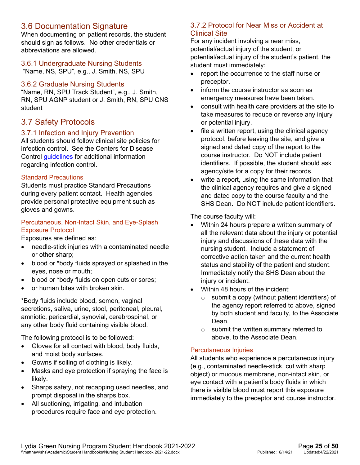#### <span id="page-24-0"></span>3.6 Documentation Signature

When documenting on patient records, the student should sign as follows. No other credentials or abbreviations are allowed.

#### <span id="page-24-1"></span>3.6.1 Undergraduate Nursing Students

"Name, NS, SPU", e.g., J. Smith, NS, SPU

#### <span id="page-24-2"></span>3.6.2 Graduate Nursing Students

"Name, RN, SPU Track Student", e.g., J. Smith, RN, SPU AGNP student or J. Smith, RN, SPU CNS student

#### <span id="page-24-3"></span>3.7 Safety Protocols

#### <span id="page-24-4"></span>3.7.1 Infection and Injury Prevention

All students should follow clinical site policies for infection control. See the Centers for Disease Control quidelines for additional information regarding infection control.

#### Standard Precautions

Students must practice Standard Precautions during every patient contact. Health agencies provide personal protective equipment such as gloves and gowns.

#### Percutaneous, Non-Intact Skin, and Eye-Splash Exposure Protocol

Exposures are defined as:

- needle-stick injuries with a contaminated needle or other sharp;
- blood or \*body fluids sprayed or splashed in the eyes, nose or mouth;
- blood or \*body fluids on open cuts or sores;
- or human bites with broken skin.

\*Body fluids include blood, semen, vaginal secretions, saliva, urine, stool, peritoneal, pleural, amniotic, pericardial, synovial, cerebrospinal, or any other body fluid containing visible blood.

The following protocol is to be followed:

- Gloves for all contact with blood, body fluids, and moist body surfaces.
- Gowns if soiling of clothing is likely.
- Masks and eye protection if spraying the face is likely.
- Sharps safety, not recapping used needles, and prompt disposal in the sharps box.
- All suctioning, irrigating, and intubation procedures require face and eye protection.

#### <span id="page-24-5"></span>3.7.2 Protocol for Near Miss or Accident at Clinical Site

For any incident involving a near miss, potential/actual injury of the student, or potential/actual injury of the student's patient, the student must immediately:

- report the occurrence to the staff nurse or preceptor.
- inform the course instructor as soon as emergency measures have been taken.
- consult with health care providers at the site to take measures to reduce or reverse any injury or potential injury.
- file a written report, using the clinical agency protocol, before leaving the site, and give a signed and dated copy of the report to the course instructor. Do NOT include patient identifiers. If possible, the student should ask agency/site for a copy for their records.
- write a report, using the same information that the clinical agency requires and give a signed and dated copy to the course faculty and the SHS Dean. Do NOT include patient identifiers.

The course faculty will:

- Within 24 hours prepare a written summary of all the relevant data about the injury or potential injury and discussions of these data with the nursing student. Include a statement of corrective action taken and the current health status and stability of the patient and student. Immediately notify the SHS Dean about the injury or incident.
- Within 48 hours of the incident:
	- o submit a copy (without patient identifiers) of the agency report referred to above, signed by both student and faculty, to the Associate Dean.
	- o submit the written summary referred to above, to the Associate Dean.

#### Percutaneous Injuries

All students who experience a percutaneous injury (e.g., contaminated needle-stick, cut with sharp object) or mucous membrane, non-intact skin, or eye contact with a patient's body fluids in which there is visible blood must report this exposure immediately to the preceptor and course instructor.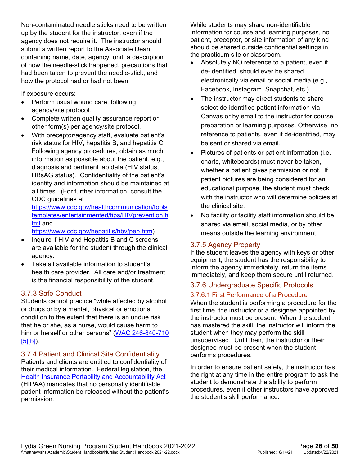Non-contaminated needle sticks need to be written up by the student for the instructor, even if the agency does not require it. The instructor should submit a written report to the Associate Dean containing name, date, agency, unit, a description of how the needle-stick happened, precautions that had been taken to prevent the needle-stick, and how the protocol had or had not been

If exposure occurs:

- Perform usual wound care, following agency/site protocol.
- Complete written quality assurance report or other form(s) per agency/site protocol.
- With preceptor/agency staff, evaluate patient's risk status for HIV, hepatitis B, and hepatitis C. Following agency procedures, obtain as much information as possible about the patient, e.g., diagnosis and pertinent lab data (HIV status, HBsAG status). Confidentiality of the patient's identity and information should be maintained at all times. (For further information, consult the CDC guidelines at

[https://www.cdc.gov/healthcommunication/tools](https://www.cdc.gov/healthcommunication/toolstemplates/entertainmented/tips/HIVprevention.html) [templates/entertainmented/tips/HIVprevention.h](https://www.cdc.gov/healthcommunication/toolstemplates/entertainmented/tips/HIVprevention.html) [tml](https://www.cdc.gov/healthcommunication/toolstemplates/entertainmented/tips/HIVprevention.html) and

[https://www.cdc.gov/hepatitis/hbv/pep.htm\)](https://www.cdc.gov/hepatitis/hbv/pep.htm)

- Inquire if HIV and Hepatitis B and C screens are available for the student through the clinical agency.
- Take all available information to student's health care provider. All care and/or treatment is the financial responsibility of the student.

#### <span id="page-25-0"></span>3.7.3 Safe Conduct

Students cannot practice "while affected by alcohol or drugs or by a mental, physical or emotional condition to the extent that there is an undue risk that he or she, as a nurse, would cause harm to him or herself or other persons" [\(WAC 246-840-710](http://app.leg.wa.gov/wac/default.aspx?cite=246-840-710)   $[5][b]$ ).

<span id="page-25-1"></span>3.7.4 Patient and Clinical Site Confidentiality Patients and clients are entitled to confidentiality of their medical information. Federal legislation, the [Health Insurance Portability and Accountability Act](https://aspe.hhs.gov/report/health-insurance-portability-and-accountability-act-1996) (HIPAA) mandates that no personally identifiable patient information be released without the patient's permission.

While students may share non-identifiable information for course and learning purposes, no patient, preceptor, or site information of any kind should be shared outside confidential settings in the practicum site or classroom.

- Absolutely NO reference to a patient, even if de-identified, should ever be shared electronically via email or social media (e.g., Facebook, Instagram, Snapchat, etc.)
- The instructor may direct students to share select de-identified patient information via Canvas or by email to the instructor for course preparation or learning purposes. Otherwise, no reference to patients, even if de-identified, may be sent or shared via email.
- Pictures of patients or patient information (i.e. charts, whiteboards) must never be taken, whether a patient gives permission or not. If patient pictures are being considered for an educational purpose, the student must check with the instructor who will determine policies at the clinical site.
- No facility or facility staff information should be shared via email, social media, or by other means outside the learning environment.

#### <span id="page-25-2"></span>3.7.5 Agency Property

If the student leaves the agency with keys or other equipment, the student has the responsibility to inform the agency immediately, return the items immediately, and keep them secure until returned.

#### <span id="page-25-3"></span>3.7.6 Undergraduate Specific Protocols

#### 3.7.6.1 First Performance of a Procedure

When the student is performing a procedure for the first time, the instructor or a designee appointed by the instructor must be present. When the student has mastered the skill, the instructor will inform the student when they may perform the skill unsupervised. Until then, the instructor or their designee must be present when the student performs procedures.

In order to ensure patient safety, the instructor has the right at any time in the entire program to ask the student to demonstrate the ability to perform procedures, even if other instructors have approved the student's skill performance.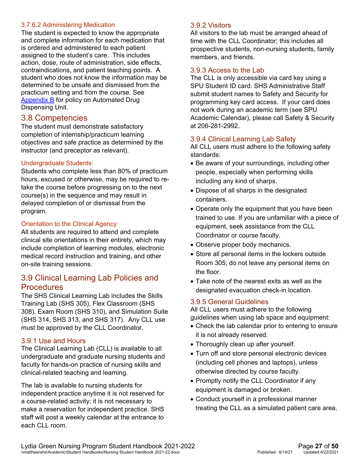#### 3.7.6.2 Administering Medication

The student is expected to know the appropriate and complete information for each medication that is ordered and administered to each patient assigned to the student's care. This includes action, dose, route of administration, side effects, contraindications, and patient teaching points. A student who does not know the information may be determined to be unsafe and dismissed from the practicum setting and from the course. See **[Appendix B](#page-49-0)** for policy on Automated Drug Dispensing Unit.

#### <span id="page-26-0"></span>3.8 Competencies

The student must demonstrate satisfactory completion of internship/practicum learning objectives and safe practice as determined by the instructor (and preceptor as relevant).

#### Undergraduate Students:

Students who complete less than 80% of practicum hours, excused or otherwise, may be required to retake the course before progressing on to the next course(s) in the sequence and may result in delayed completion of or dismissal from the program.

#### Orientation to the Clinical Agency

All students are required to attend and complete clinical site orientations in their entirety, which may include completion of learning modules, electronic medical record instruction and training, and other on-site training sessions.

#### <span id="page-26-1"></span>3.9 Clinical Learning Lab Policies and **Procedures**

The SHS Clinical Learning Lab includes the Skills Training Lab (SHS 305), Flex Classroom (SHS 308), Exam Room (SHS 310), and Simulation Suite (SHS 314, SHS 313, and SHS 317). Any CLL use must be approved by the CLL Coordinator.

#### <span id="page-26-2"></span>3.9.1 Use and Hours

The Clinical Learning Lab (CLL) is available to all undergraduate and graduate nursing students and faculty for hands-on practice of nursing skills and clinical-related teaching and learning.

The lab is available to nursing students for independent practice anytime it is not reserved for a course-related activity; it is not necessary to make a reservation for independent practice. SHS staff will post a weekly calendar at the entrance to each CLL room.

#### <span id="page-26-3"></span>3.9.2 Visitors

All visitors to the lab must be arranged ahead of time with the CLL Coordinator; this includes all prospective students, non-nursing students, family members, and friends.

#### <span id="page-26-4"></span>3.9.3 Access to the Lab

The CLL is only accessible via card key using a SPU Student ID card. SHS Administrative Staff submit student names to Safety and Security for programming key card access. If your card does not work during an academic term (see SPU Academic Calendar), please call Safety & Security at 206-281-2992.

#### <span id="page-26-5"></span>3.9.4 Clinical Learning Lab Safety

All CLL users must adhere to the following safety standards:

- Be aware of your surroundings, including other people, especially when performing skills including any kind of sharps.
- Dispose of all sharps in the designated containers.
- Operate only the equipment that you have been trained to use. If you are unfamiliar with a piece of equipment, seek assistance from the CLL Coordinator or course faculty.
- Observe proper body mechanics.
- Store all personal items in the lockers outside Room 305; do not leave any personal items on the floor.
- Take note of the nearest exits as well as the designated evacuation check-in location.

#### <span id="page-26-6"></span>3.9.5 General Guidelines

All CLL users must adhere to the following guidelines when using lab space and equipment:

- Check the lab calendar prior to entering to ensure it is not already reserved.
- Thoroughly clean up after yourself.
- Turn off and store personal electronic devices (including cell phones and laptops), unless otherwise directed by course faculty.
- Promptly notify the CLL Coordinator if any equipment is damaged or broken.
- Conduct yourself in a professional manner treating the CLL as a simulated patient care area.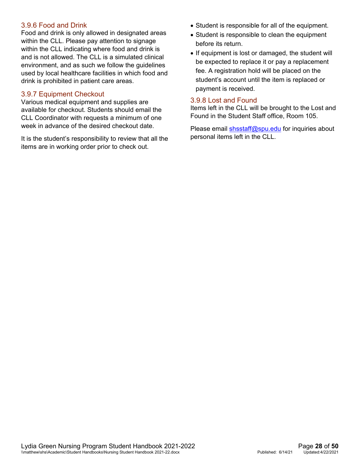#### <span id="page-27-0"></span>3.9.6 Food and Drink

Food and drink is only allowed in designated areas within the CLL. Please pay attention to signage within the CLL indicating where food and drink is and is not allowed. The CLL is a simulated clinical environment, and as such we follow the guidelines used by local healthcare facilities in which food and drink is prohibited in patient care areas.

#### <span id="page-27-1"></span>3.9.7 Equipment Checkout

Various medical equipment and supplies are available for checkout. Students should email the CLL Coordinator with requests a minimum of one week in advance of the desired checkout date.

It is the student's responsibility to review that all the items are in working order prior to check out.

- Student is responsible for all of the equipment.
- Student is responsible to clean the equipment before its return.
- If equipment is lost or damaged, the student will be expected to replace it or pay a replacement fee. A registration hold will be placed on the student's account until the item is replaced or payment is received.

#### <span id="page-27-2"></span>3.9.8 Lost and Found

Items left in the CLL will be brought to the Lost and Found in the Student Staff office, Room 105.

Please email [shsstaff@spu.edu](mailto:shsstaff@spu.edu) for inquiries about personal items left in the CLL.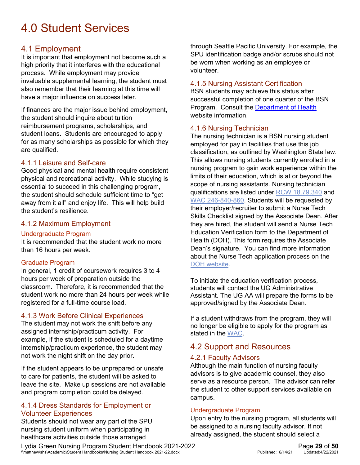## <span id="page-28-0"></span>4.0 Student Services

#### <span id="page-28-1"></span>4.1 Employment

It is important that employment not become such a high priority that it interferes with the educational process. While employment may provide invaluable supplemental learning, the student must also remember that their learning at this time will have a major influence on success later.

If finances are the major issue behind employment, the student should inquire about tuition reimbursement programs, scholarships, and student loans. Students are encouraged to apply for as many scholarships as possible for which they are qualified.

#### <span id="page-28-2"></span>4.1.1 Leisure and Self-care

Good physical and mental health require consistent physical and recreational activity. While studying is essential to succeed in this challenging program, the student should schedule sufficient time to "get away from it all" and enjoy life. This will help build the student's resilience.

#### <span id="page-28-3"></span>4.1.2 Maximum Employment

#### Undergraduate Program

It is recommended that the student work no more than 16 hours per week.

#### Graduate Program

In general, 1 credit of coursework requires 3 to 4 hours per week of preparation outside the classroom. Therefore, it is recommended that the student work no more than 24 hours per week while registered for a full-time course load.

#### <span id="page-28-4"></span>4.1.3 Work Before Clinical Experiences

The student may not work the shift before any assigned internship/practicum activity. For example, if the student is scheduled for a daytime internship/practicum experience, the student may not work the night shift on the day prior.

If the student appears to be unprepared or unsafe to care for patients, the student will be asked to leave the site. Make up sessions are not available and program completion could be delayed.

#### <span id="page-28-5"></span>4.1.4 Dress Standards for Employment or Volunteer Experiences

Students should not wear any part of the SPU nursing student uniform when participating in healthcare activities outside those arranged

through Seattle Pacific University. For example, the SPU identification badge and/or scrubs should not be worn when working as an employee or volunteer.

#### <span id="page-28-6"></span>4.1.5 Nursing Assistant Certification

BSN students may achieve this status after successful completion of one quarter of the BSN Program. Consult the [Department of Health](http://www.doh.wa.gov/LicensesPermitsandCertificates/ProfessionsNewReneworUpdate/NursingAssistant) website information.

#### <span id="page-28-7"></span>4.1.6 Nursing Technician

The nursing technician is a BSN nursing student employed for pay in facilities that use this job classification, as outlined by Washington State law. This allows nursing students currently enrolled in a nursing program to gain work experience within the limits of their education, which is at or beyond the scope of nursing assistants. Nursing technician qualifications are listed under [RCW 18.79.340](https://app.leg.wa.gov/rcw/default.aspx?cite=18.79.340) and [WAC 246-840-860.](https://app.leg.wa.gov/wac/default.aspx?cite=246-840-860) Students will be requested by their employer/recruiter to submit a Nurse Tech Skills Checklist signed by the Associate Dean. After they are hired, the student will send a Nurse Tech Education Verification form to the Department of Health (DOH). This form requires the Associate Dean's signature. You can find more information about the Nurse Tech application process on the [DOH website.](https://www.doh.wa.gov/Portals/1/Documents/6000/669426.pdf)

To initiate the education verification process, students will contact the UG Administrative Assistant. The UG AA will prepare the forms to be approved/signed by the Associate Dean.

If a student withdraws from the program, they will no longer be eligible to apply for the program as stated in the [WAC.](https://app.leg.wa.gov/wac/default.aspx?cite=246-840-860)

#### <span id="page-28-8"></span>4.2 Support and Resources

#### <span id="page-28-9"></span>4.2.1 Faculty Advisors

Although the main function of nursing faculty advisors is to give academic counsel, they also serve as a resource person. The advisor can refer the student to other support services available on campus.

#### Undergraduate Program

Upon entry to the nursing program, all students will be assigned to a nursing faculty advisor. If not already assigned, the student should select a

Lydia Green Nursing Program Student Handbook 2021-2022<br>
\\matthew\shs\Academic\Student Handbooks\Nursing Student Handbook 2021-22.docx<br>
Published: 6/14/21 Updated:4/22/2021 \\matthew\shs\Academic\Student Handbooks\Nursing Student Handbook 2021-22.docx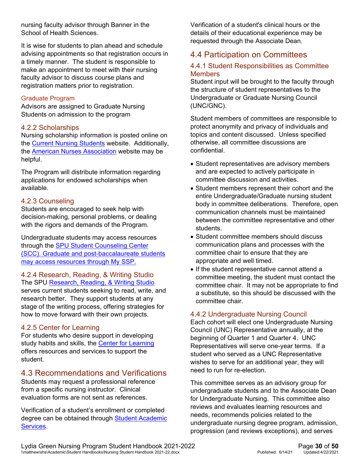nursing faculty advisor through Banner in the School of Health Sciences.

It is wise for students to plan ahead and schedule advising appointments so that registration occurs in a timely manner. The student is responsible to make an appointment to meet with their nursing faculty advisor to discuss course plans and registration matters prior to registration.

#### Graduate Program

Advisors are assigned to Graduate Nursing Students on admission to the program

#### <span id="page-29-0"></span>4.2.2 Scholarships

Nursing scholarship information is posted online on the [Current Nursing Students](https://spu.edu/academics/school-of-health-sciences/current-students) website. Additionally, the [American Nurses Association](https://www.nursingworld.org/) website may be helpful.

The Program will distribute information regarding applications for endowed scholarships when available.

#### <span id="page-29-1"></span>4.2.3 Counseling

Students are encouraged to seek help with decision-making, personal problems, or dealing with the rigors and demands of the Program.

Undergraduate students may access resources through the [SPU Student Counseling Center](https://spu.edu/depts/scc/)  [\(SCC\).](https://spu.edu/depts/scc/) Graduate and post-baccalaureate students may access resources through [My SSP.](https://spu.edu/graduate-admissions/resources/counseling-services)

<span id="page-29-2"></span>4.2.4 Research, Reading, & Writing Studio The SPU [Research, Reading, & Writing Studio](http://digitalobby.spu.edu/writingprogram/writing-center/)  serves current students seeking to read, write, and research better. They support students at any stage of the writing process, offering strategies for how to move forward with their own projects.

#### <span id="page-29-3"></span>4.2.5 Center for Learning

For students who desire support in developing study habits and skills, the [Center for Learning](https://spu.edu/administration/center-for-learning) offers resources and services to support the student.

#### <span id="page-29-4"></span>4.3 Recommendations and Verifications

Students may request a professional reference from a specific nursing instructor. Clinical evaluation forms are not sent as references.

Verification of a student's enrollment or completed degree can be obtained through **Student Academic** [Services.](https://spu.edu/student-academic-services/student-resources/enrollment-verification)

Verification of a student's clinical hours or the details of their educational experience may be requested through the Associate Dean.

#### <span id="page-29-5"></span>4.4 Participation on Committees

#### <span id="page-29-6"></span>4.4.1 Student Responsibilities as Committee **Members**

Student input will be brought to the faculty through the structure of student representatives to the Undergraduate or Graduate Nursing Council (UNC/GNC).

Student members of committees are responsible to protect anonymity and privacy of individuals and topics and content discussed. Unless specified otherwise, all committee discussions are confidential.

- Student representatives are advisory members and are expected to actively participate in committee discussion and activities.
- Student members represent their cohort and the entire Undergraduate/Graduate nursing student body in committee deliberations. Therefore, open communication channels must be maintained between the committee representative and other students.
- Student committee members should discuss communication plans and processes with the committee chair to ensure that they are appropriate and well timed.
- If the student representative cannot attend a committee meeting, the student must contact the committee chair. It may not be appropriate to find a substitute, so this should be discussed with the committee chair.

#### <span id="page-29-7"></span>4.4.2 Undergraduate Nursing Council

Each cohort will elect one Undergraduate Nursing Council (UNC) Representative annually, at the beginning of Quarter 1 and Quarter 4. UNC Representatives will serve one-year terms. If a student who served as a UNC Representative wishes to serve for an additional year, they will need to run for re-election.

This committee serves as an advisory group for undergraduate students and to the Associate Dean for Undergraduate Nursing. This committee also reviews and evaluates learning resources and needs, recommends policies related to the undergraduate nursing degree program, admission, progression (and reviews exceptions), and serves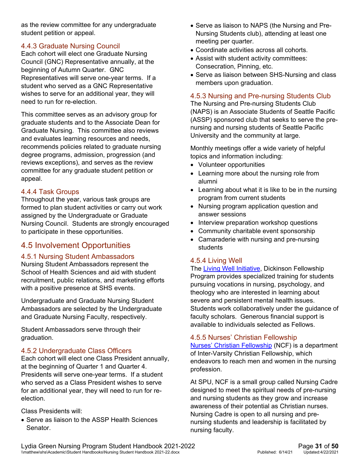as the review committee for any undergraduate student petition or appeal.

#### <span id="page-30-0"></span>4.4.3 Graduate Nursing Council

Each cohort will elect one Graduate Nursing Council (GNC) Representative annually, at the beginning of Autumn Quarter. GNC Representatives will serve one-year terms. If a student who served as a GNC Representative wishes to serve for an additional year, they will need to run for re-election.

This committee serves as an advisory group for graduate students and to the Associate Dean for Graduate Nursing. This committee also reviews and evaluates learning resources and needs, recommends policies related to graduate nursing degree programs, admission, progression (and reviews exceptions), and serves as the review committee for any graduate student petition or appeal.

#### <span id="page-30-1"></span>4.4.4 Task Groups

Throughout the year, various task groups are formed to plan student activities or carry out work assigned by the Undergraduate or Graduate Nursing Council. Students are strongly encouraged to participate in these opportunities.

#### <span id="page-30-2"></span>4.5 Involvement Opportunities

#### <span id="page-30-3"></span>4.5.1 Nursing Student Ambassadors

Nursing Student Ambassadors represent the School of Health Sciences and aid with student recruitment, public relations, and marketing efforts with a positive presence at SHS events.

Undergraduate and Graduate Nursing Student Ambassadors are selected by the Undergraduate and Graduate Nursing Faculty, respectively.

Student Ambassadors serve through their graduation.

#### <span id="page-30-4"></span>4.5.2 Undergraduate Class Officers

Each cohort will elect one Class President annually, at the beginning of Quarter 1 and Quarter 4. Presidents will serve one-year terms. If a student who served as a Class President wishes to serve for an additional year, they will need to run for reelection.

Class Presidents will:

• Serve as liaison to the ASSP Health Sciences Senator.

- Serve as liaison to NAPS (the Nursing and Pre-Nursing Students club), attending at least one meeting per quarter.
- Coordinate activities across all cohorts.
- Assist with student activity committees: Consecration, Pinning, etc.
- Serve as liaison between SHS-Nursing and class members upon graduation.

#### <span id="page-30-5"></span>4.5.3 Nursing and Pre-nursing Students Club

The Nursing and Pre-nursing Students Club (NAPS) is an Associate Students of Seattle Pacific (ASSP) sponsored club that seeks to serve the prenursing and nursing students of Seattle Pacific University and the community at large.

Monthly meetings offer a wide variety of helpful topics and information including:

- Volunteer opportunities
- Learning more about the nursing role from alumni
- Learning about what it is like to be in the nursing program from current students
- Nursing program application question and answer sessions
- Interview preparation workshop questions
- Community charitable event sponsorship
- Camaraderie with nursing and pre-nursing students

#### <span id="page-30-6"></span>4.5.4 Living Well

The [Living Well Initiative,](http://spu.edu/depts/health-sciences/special/livingwell/index.asp) Dickinson Fellowship Program provides specialized training for students pursuing vocations in nursing, psychology, and theology who are interested in learning about severe and persistent mental health issues. Students work collaboratively under the guidance of faculty scholars. Generous financial support is available to individuals selected as Fellows.

#### <span id="page-30-7"></span>4.5.5 Nurses' Christian Fellowship

[Nurses' Christian Fellowship](http://ncf-jcn.org/) (NCF) is a department of Inter-Varsity Christian Fellowship, which endeavors to reach men and women in the nursing profession.

At SPU, NCF is a small group called Nursing Cadre designed to meet the spiritual needs of pre-nursing and nursing students as they grow and increase awareness of their potential as Christian nurses. Nursing Cadre is open to all nursing and prenursing students and leadership is facilitated by nursing faculty.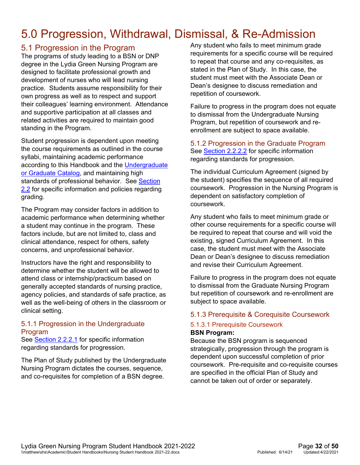## <span id="page-31-0"></span>5.0 Progression, Withdrawal, Dismissal, & Re-Admission

#### <span id="page-31-1"></span>5.1 Progression in the Program

The programs of study leading to a BSN or DNP degree in the Lydia Green Nursing Program are designed to facilitate professional growth and development of nurses who will lead nursing practice. Students assume responsibility for their own progress as well as to respect and support their colleagues' learning environment. Attendance and supportive participation at all classes and related activities are required to maintain good standing in the Program.

Student progression is dependent upon meeting the course requirements as outlined in the course syllabi, maintaining academic performance according to this Handbook and the [Undergraduate](https://spu.edu/catalog)  [or Graduate Catalog,](https://spu.edu/catalog) and maintaining high standards of professional behavior. See Section [2.2](#page-14-2) for specific information and policies regarding grading.

The Program may consider factors in addition to academic performance when determining whether a student may continue in the program. These factors include, but are not limited to, class and clinical attendance, respect for others, safety concerns, and unprofessional behavior.

Instructors have the right and responsibility to determine whether the student will be allowed to attend class or internship/practicum based on generally accepted standards of nursing practice, agency policies, and standards of safe practice, as well as the well-being of others in the classroom or clinical setting.

#### <span id="page-31-2"></span>5.1.1 Progression in the Undergraduate Program

See [Section 2.2.2.1](#page-14-4) for specific information regarding standards for progression.

The Plan of Study published by the Undergraduate Nursing Program dictates the courses, sequence, and co-requisites for completion of a BSN degree.

Any student who fails to meet minimum grade requirements for a specific course will be required to repeat that course and any co-requisites, as stated in the Plan of Study. In this case, the student must meet with the Associate Dean or Dean's designee to discuss remediation and repetition of coursework.

Failure to progress in the program does not equate to dismissal from the Undergraduate Nursing Program, but repetition of coursework and reenrollment are subject to space available.

#### <span id="page-31-3"></span>5.1.2 Progression in the Graduate Program See **Section 2.2.2.2** for specific information regarding standards for progression.

The individual Curriculum Agreement (signed by the student) specifies the sequence of all required coursework. Progression in the Nursing Program is dependent on satisfactory completion of coursework.

Any student who fails to meet minimum grade or other course requirements for a specific course will be required to repeat that course and will void the existing, signed Curriculum Agreement. In this case, the student must meet with the Associate Dean or Dean's designee to discuss remediation and revise their Curriculum Agreement.

Failure to progress in the program does not equate to dismissal from the Graduate Nursing Program but repetition of coursework and re-enrollment are subject to space available.

#### <span id="page-31-4"></span>5.1.3 Prerequisite & Corequisite Coursework

## 5.1.3.1 Prerequisite Coursework

#### **BSN Program:**

Because the BSN program is sequenced strategically, progression through the program is dependent upon successful completion of prior coursework. Pre-requisite and co-requisite courses are specified in the official Plan of Study and cannot be taken out of order or separately.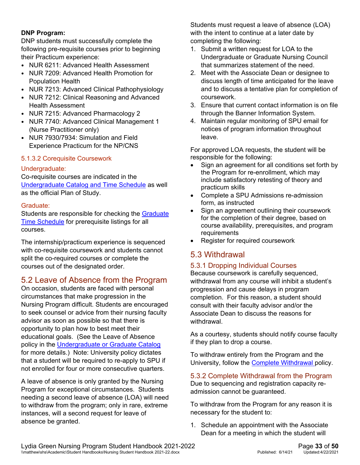#### **DNP Program:**

DNP students must successfully complete the following pre-requisite courses prior to beginning their Practicum experience:

- NUR 6211: Advanced Health Assessment
- NUR 7209: Advanced Health Promotion for Population Health
- NUR 7213: Advanced Clinical Pathophysiology
- NUR 7212: Clinical Reasoning and Advanced Health Assessment
- NUR 7215: Advanced Pharmacology 2
- NUR 7740: Advanced Clinical Management 1 (Nurse Practitioner only)
- NUR 7930/7934: Simulation and Field Experience Practicum for the NP/CNS

#### 5.1.3.2 Corequisite Coursework

#### Undergraduate:

Co-requisite courses are indicated in the [Undergraduate Catalog and Time Schedule](https://spu.edu/catalog) as well as the official Plan of Study.

#### Graduate:

Students are responsible for checking the [Graduate](http://www.spu.edu/catalog)  [Time Schedule](http://www.spu.edu/catalog) for prerequisite listings for all courses.

The internship/practicum experience is sequenced with co-requisite coursework and students cannot split the co-required courses or complete the courses out of the designated order.

#### <span id="page-32-0"></span>5.2 Leave of Absence from the Program

On occasion, students are faced with personal circumstances that make progression in the Nursing Program difficult. Students are encouraged to seek counsel or advice from their nursing faculty advisor as soon as possible so that there is opportunity to plan how to best meet their educational goals. (See the Leave of Absence policy in the [Undergraduate or Graduate Catalog](https://spu.edu/catalog)  for more details.) Note: University policy dictates that a student will be required to re-apply to SPU if not enrolled for four or more consecutive quarters.

A leave of absence is only granted by the Nursing Program for exceptional circumstances. Students needing a second leave of absence (LOA) will need to withdraw from the program; only in rare, extreme instances, will a second request for leave of absence be granted.

Students must request a leave of absence (LOA) with the intent to continue at a later date by completing the following:

- 1. Submit a written request for LOA to the Undergraduate or Graduate Nursing Council that summarizes statement of the need.
- 2. Meet with the Associate Dean or designee to discuss length of time anticipated for the leave and to discuss a tentative plan for completion of coursework.
- 3. Ensure that current contact information is on file through the Banner Information System.
- 4. Maintain regular monitoring of SPU email for notices of program information throughout leave.

For approved LOA requests, the student will be responsible for the following:

- Sign an agreement for all conditions set forth by the Program for re-enrollment, which may include satisfactory retesting of theory and practicum skills
- Complete a SPU Admissions re-admission form, as instructed
- Sign an agreement outlining their coursework for the completion of their degree, based on course availability, prerequisites, and program requirements
- Register for required coursework

#### <span id="page-32-1"></span>5.3 Withdrawal

#### <span id="page-32-2"></span>5.3.1 Dropping Individual Courses

Because coursework is carefully sequenced, withdrawal from any course will inhibit a student's progression and cause delays in program completion. For this reason, a student should consult with their faculty advisor and/or the Associate Dean to discuss the reasons for withdrawal.

As a courtesy, students should notify course faculty if they plan to drop a course.

To withdraw entirely from the Program and the University, follow the [Complete Withdrawal p](#page-32-3)olicy.

<span id="page-32-3"></span>5.3.2 Complete Withdrawal from the Program Due to sequencing and registration capacity readmission cannot be guaranteed.

To withdraw from the Program for any reason it is necessary for the student to:

1. Schedule an appointment with the Associate Dean for a meeting in which the student will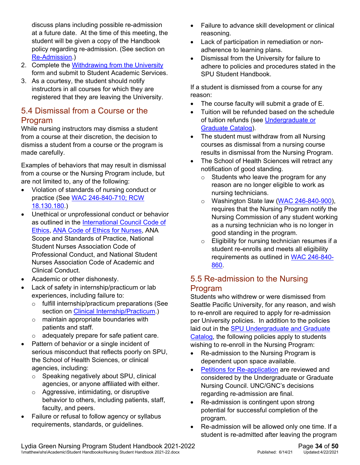discuss plans including possible re-admission at a future date. At the time of this meeting, the student will be given a copy of the Handbook policy regarding re-admission. (See section on [Re-Admission.](#page-33-1))

- 2. Complete the [Withdrawing from the University](https://spu.edu/depts/sas/students/documents/WithdrawingfromtheUniversity_000.pdf) form and submit to Student Academic Services.
- 3. As a courtesy, the student should notify instructors in all courses for which they are registered that they are leaving the University.

#### <span id="page-33-0"></span>5.4 Dismissal from a Course or the Program

While nursing instructors may dismiss a student from a course at their discretion, the decision to dismiss a student from a course or the program is made carefully.

Examples of behaviors that may result in dismissal from a course or the Nursing Program include, but are not limited to, any of the following:

- Violation of standards of nursing conduct or practice (See [WAC 246-840-710; RCW](http://app.leg.wa.gov/wac/default.aspx?cite=246-840-710)  [18.130.180.](http://app.leg.wa.gov/wac/default.aspx?cite=246-840-710))
- Unethical or unprofessional conduct or behavior as outlined in the [International Council Code of](https://www.icn.ch/sites/default/files/inline-files/2012_ICN_Codeofethicsfornurses_%20eng.pdf)  [Ethics,](https://www.icn.ch/sites/default/files/inline-files/2012_ICN_Codeofethicsfornurses_%20eng.pdf) [ANA Code of Ethics for Nurses,](https://www.nursingworld.org/coe-view-only) ANA Scope and Standards of Practice, National Student Nurses Association Code of Professional Conduct, and National Student Nurses Association Code of Academic and Clinical Conduct.
- Academic or other dishonesty.
- Lack of safety in internship/practicum or lab experiences, including failure to:
	- o fulfill internship/practicum preparations (See section on [Clinical Internship/Practicum.](#page-18-0))
	- o maintain appropriate boundaries with patients and staff.
	- $\circ$  adequately prepare for safe patient care.
- Pattern of behavior or a single incident of serious misconduct that reflects poorly on SPU, the School of Health Sciences, or clinical agencies, including:
	- o Speaking negatively about SPU, clinical agencies, or anyone affiliated with either.
	- o Aggressive, intimidating, or disruptive behavior to others, including patients, staff, faculty, and peers.
- Failure or refusal to follow agency or syllabus requirements, standards, or guidelines.
- Failure to advance skill development or clinical reasoning.
- Lack of participation in remediation or nonadherence to learning plans.
- Dismissal from the University for failure to adhere to policies and procedures stated in the SPU Student Handbook.

If a student is dismissed from a course for any reason:

- The course faculty will submit a grade of E.
- Tuition will be refunded based on the schedule of tuition refunds (see [Undergraduate or](https://spu.edu/catalog)  [Graduate Catalog\)](https://spu.edu/catalog).
- The student must withdraw from all Nursing courses as dismissal from a nursing course results in dismissal from the Nursing Program.
- The School of Health Sciences will retract any notification of good standing.
	- o Students who leave the program for any reason are no longer eligible to work as nursing technicians.
	- o Washington State law [\(WAC 246-840-900\)](https://apps.leg.wa.gov/wac/default.aspx?cite=246-840-900), requires that the Nursing Program notify the Nursing Commission of any student working as a nursing technician who is no longer in good standing in the program.
	- o Eligibility for nursing technician resumes if a student re-enrolls and meets all eligibility requirements as outlined in [WAC 246-840-](https://apps.leg.wa.gov/WAC/default.aspx?cite=246-840-860) [860.](https://apps.leg.wa.gov/WAC/default.aspx?cite=246-840-860)

#### <span id="page-33-1"></span>5.5 Re-admission to the Nursing Program

Students who withdrew or were dismissed from Seattle Pacific University, for any reason, and wish to re-enroll are required to apply for re-admission per University policies. In addition to the policies laid out in the **SPU Undergraduate and Graduate** [Catalog,](https://spu.edu/catalog) the following policies apply to students wishing to re-enroll in the Nursing Program:

- Re-admission to the Nursing Program is dependent upon space available.
- [Petitions for Re-application](#page-34-2) are reviewed and considered by the Undergraduate or Graduate Nursing Council. UNC/GNC's decisions regarding re-admission are final.
- Re-admission is contingent upon strong potential for successful completion of the program.
- Re-admission will be allowed only one time. If a student is re-admitted after leaving the program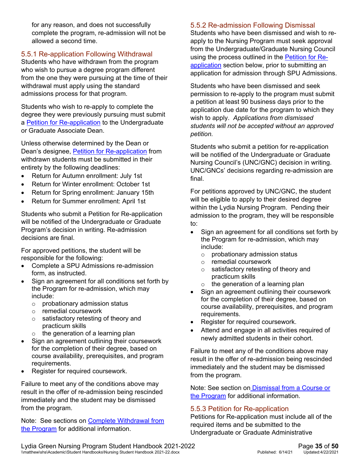for any reason, and does not successfully complete the program, re-admission will not be allowed a second time.

#### <span id="page-34-0"></span>5.5.1 Re-application Following Withdrawal

Students who have withdrawn from the program who wish to pursue a degree program different from the one they were pursuing at the time of their withdrawal must apply using the standard admissions process for that program.

Students who wish to re-apply to complete the degree they were previously pursuing must submit a **Petition for Re-application** to the Undergraduate or Graduate Associate Dean.

Unless otherwise determined by the Dean or Dean's designee, [Petition for Re-application](#page-34-2) from withdrawn students must be submitted in their entirety by the following deadlines:

- Return for Autumn enrollment: July 1st
- Return for Winter enrollment: October 1st
- Return for Spring enrollment: January 15th
- Return for Summer enrollment: April 1st

Students who submit a Petition for Re-application will be notified of the Undergraduate or Graduate Program's decision in writing. Re-admission decisions are final.

For approved petitions, the student will be responsible for the following:

- Complete a SPU Admissions re-admission form, as instructed.
- Sign an agreement for all conditions set forth by the Program for re-admission, which may include:
	- o probationary admission status
	- o remedial coursework
	- o satisfactory retesting of theory and practicum skills
	- $\circ$  the generation of a learning plan
- Sign an agreement outlining their coursework for the completion of their degree, based on course availability, prerequisites, and program requirements.
- Register for required coursework.

Failure to meet any of the conditions above may result in the offer of re-admission being rescinded immediately and the student may be dismissed from the program.

Note: See sections on [Complete Withdrawal from](#page-32-3)  [the Program](#page-32-3) for additional information.

#### <span id="page-34-1"></span>5.5.2 Re-admission Following Dismissal

Students who have been dismissed and wish to reapply to the Nursing Program must seek approval from the Undergraduate/Graduate Nursing Council using the process outlined in the [Petition for Re](#page-34-2)[application](#page-34-2) section below, prior to submitting an application for admission through SPU Admissions.

Students who have been dismissed and seek permission to re-apply to the program must submit a petition at least 90 business days prior to the application due date for the program to which they wish to apply. *Applications from dismissed students will not be accepted without an approved petition.*

Students who submit a petition for re-application will be notified of the Undergraduate or Graduate Nursing Council's (UNC/GNC) decision in writing. UNC/GNCs' decisions regarding re-admission are final.

For petitions approved by UNC/GNC, the student will be eligible to apply to their desired degree within the Lydia Nursing Program. Pending their admission to the program, they will be responsible to:

- Sign an agreement for all conditions set forth by the Program for re-admission, which may include:
	- $\circ$  probationary admission status<br>  $\circ$  remedial coursework
	- remedial coursework<br>○ satisfactory retesting
	- satisfactory retesting of theory and practicum skills
	- $\circ$  the generation of a learning plan
- Sign an agreement outlining their coursework for the completion of their degree, based on course availability, prerequisites, and program requirements.
- Register for required coursework.
- Attend and engage in all activities required of newly admitted students in their cohort.

Failure to meet any of the conditions above may result in the offer of re-admission being rescinded immediately and the student may be dismissed from the program.

Note: See section on [Dismissal from a Course or](#page-33-0)  [the Program](#page-33-0) for additional information.

#### <span id="page-34-2"></span>5.5.3 Petition for Re-application

Petitions for Re-application must include all of the required items and be submitted to the Undergraduate or Graduate Administrative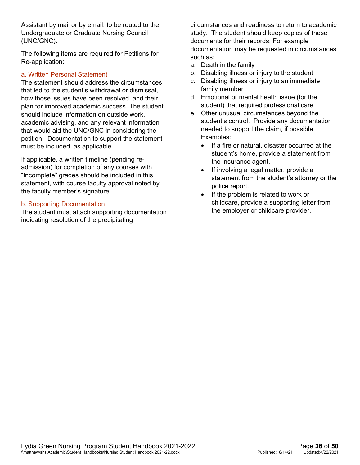Assistant by mail or by email, to be routed to the Undergraduate or Graduate Nursing Council (UNC/GNC).

The following items are required for Petitions for Re-application:

#### a. Written Personal Statement

The statement should address the circumstances that led to the student's withdrawal or dismissal, how those issues have been resolved, and their plan for improved academic success. The student should include information on outside work, academic advising, and any relevant information that would aid the UNC/GNC in considering the petition. Documentation to support the statement must be included, as applicable.

If applicable, a written timeline (pending readmission) for completion of any courses with "Incomplete" grades should be included in this statement, with course faculty approval noted by the faculty member's signature.

#### b. Supporting Documentation

The student must attach supporting documentation indicating resolution of the precipitating

circumstances and readiness to return to academic study. The student should keep copies of these documents for their records. For example documentation may be requested in circumstances such as:

- a. Death in the family
- b. Disabling illness or injury to the student
- c. Disabling illness or injury to an immediate family member
- d. Emotional or mental health issue (for the student) that required professional care
- e. Other unusual circumstances beyond the student's control. Provide any documentation needed to support the claim, if possible. Examples:
	- If a fire or natural, disaster occurred at the student's home, provide a statement from the insurance agent.
	- If involving a legal matter, provide a statement from the student's attorney or the police report.
	- If the problem is related to work or childcare, provide a supporting letter from the employer or childcare provider.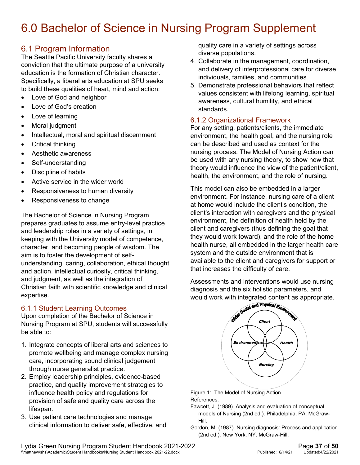## <span id="page-36-0"></span>6.0 Bachelor of Science in Nursing Program Supplement

#### <span id="page-36-1"></span>6.1 Program Information

The Seattle Pacific University faculty shares a conviction that the ultimate purpose of a university education is the formation of Christian character. Specifically, a liberal arts education at SPU seeks to build these qualities of heart, mind and action:

- Love of God and neighbor
- Love of God's creation
- Love of learning
- Moral judgment
- Intellectual, moral and spiritual discernment
- Critical thinking
- Aesthetic awareness
- Self-understanding
- Discipline of habits
- Active service in the wider world
- Responsiveness to human diversity
- Responsiveness to change

The Bachelor of Science in Nursing Program prepares graduates to assume entry-level practice and leadership roles in a variety of settings, in keeping with the University model of competence, character, and becoming people of wisdom. The aim is to foster the development of selfunderstanding, caring, collaboration, ethical thought and action, intellectual curiosity, critical thinking, and judgment, as well as the integration of Christian faith with scientific knowledge and clinical expertise.

#### <span id="page-36-2"></span>6.1.1 Student Learning Outcomes

Upon completion of the Bachelor of Science in Nursing Program at SPU, students will successfully be able to:

- 1. Integrate concepts of liberal arts and sciences to promote wellbeing and manage complex nursing care, incorporating sound clinical judgement through nurse generalist practice.
- 2. Employ leadership principles, evidence-based practice, and quality improvement strategies to influence health policy and regulations for provision of safe and quality care across the lifespan.
- 3. Use patient care technologies and manage clinical information to deliver safe, effective, and

quality care in a variety of settings across diverse populations.

- 4. Collaborate in the management, coordination, and delivery of interprofessional care for diverse individuals, families, and communities.
- 5. Demonstrate professional behaviors that reflect values consistent with lifelong learning, spiritual awareness, cultural humility, and ethical standards.

#### <span id="page-36-3"></span>6.1.2 Organizational Framework

For any setting, patients/clients, the immediate environment, the health goal, and the nursing role can be described and used as context for the nursing process. The Model of Nursing Action can be used with any nursing theory, to show how that theory would influence the view of the patient/client, health, the environment, and the role of nursing.

This model can also be embedded in a larger environment. For instance, nursing care of a client at home would include the client's condition, the client's interaction with caregivers and the physical environment, the definition of health held by the client and caregivers (thus defining the goal that they would work toward), and the role of the home health nurse, all embedded in the larger health care system and the outside environment that is available to the client and caregivers for support or that increases the difficulty of care.

Assessments and interventions would use nursing diagnosis and the six holistic parameters, and would work with integrated content as appropriate.



Figure 1: The Model of Nursing Action References:

- Fawcett, J. (1989). Analysis and evaluation of conceptual models of Nursing (2nd ed.). Philadelphia, PA: McGraw-Hill.
- Gordon, M. (1987). Nursing diagnosis: Process and application (2nd ed.). New York, NY: McGraw-Hill.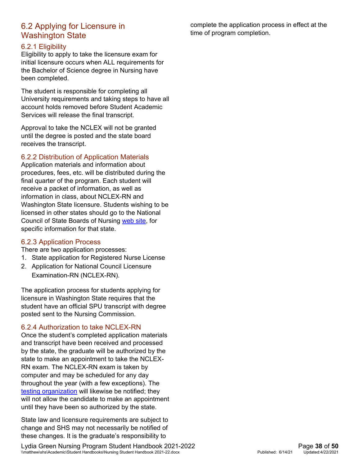#### <span id="page-37-0"></span>6.2 Applying for Licensure in Washington State

#### <span id="page-37-1"></span>6.2.1 Eligibility

Eligibility to apply to take the licensure exam for initial licensure occurs when ALL requirements for the Bachelor of Science degree in Nursing have been completed.

The student is responsible for completing all University requirements and taking steps to have all account holds removed before Student Academic Services will release the final transcript.

Approval to take the NCLEX will not be granted until the degree is posted and the state board receives the transcript.

#### <span id="page-37-2"></span>6.2.2 Distribution of Application Materials

Application materials and information about procedures, fees, etc. will be distributed during the final quarter of the program. Each student will receive a packet of information, as well as information in class, about NCLEX-RN and Washington State licensure. Students wishing to be licensed in other states should go to the National Council of State Boards of Nursing [web site,](http://www.ncsbn.org/) for specific information for that state.

#### <span id="page-37-3"></span>6.2.3 Application Process

- There are two application processes:
- 1. State application for Registered Nurse License
- 2. Application for National Council Licensure Examination-RN (NCLEX-RN).

The application process for students applying for licensure in Washington State requires that the student have an official SPU transcript with degree posted sent to the Nursing Commission.

#### <span id="page-37-4"></span>6.2.4 Authorization to take NCLEX-RN

Once the student's completed application materials and transcript have been received and processed by the state, the graduate will be authorized by the state to make an appointment to take the NCLEX-RN exam. The NCLEX-RN exam is taken by computer and may be scheduled for any day throughout the year (with a few exceptions). The [testing organization](https://www.ncsbn.org/index.htm) will likewise be notified; they will not allow the candidate to make an appointment until they have been so authorized by the state.

State law and licensure requirements are subject to change and SHS may not necessarily be notified of these changes. It is the graduate's responsibility to

Lydia Green Nursing Program Student Handbook 2021-2022<br>
\\matthew\shs\Academic\Student Handbooks\Nursing Student Handbook 2021-22.docx<br>
Published: 6/14/21 Updated:4/22/2021 \\matthew\shs\Academic\Student Handbooks\Nursing Student Handbook 2021-22.docx

complete the application process in effect at the time of program completion.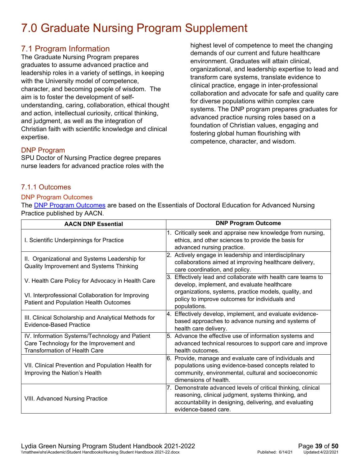## <span id="page-38-0"></span>7.0 Graduate Nursing Program Supplement

#### <span id="page-38-1"></span>7.1 Program Information

The Graduate Nursing Program prepares graduates to assume advanced practice and leadership roles in a variety of settings, in keeping with the University model of competence, character, and becoming people of wisdom. The aim is to foster the development of selfunderstanding, caring, collaboration, ethical thought and action, intellectual curiosity, critical thinking, and judgment, as well as the integration of Christian faith with scientific knowledge and clinical expertise.

highest level of competence to meet the changing demands of our current and future healthcare environment. Graduates will attain clinical, organizational, and leadership expertise to lead and transform care systems, translate evidence to clinical practice, engage in inter-professional collaboration and advocate for safe and quality care for diverse populations within complex care systems. The DNP program prepares graduates for advanced practice nursing roles based on a foundation of Christian values, engaging and fostering global human flourishing with competence, character, and wisdom.

#### <span id="page-38-2"></span>DNP Program

SPU Doctor of Nursing Practice degree prepares nurse leaders for advanced practice roles with the

#### <span id="page-38-3"></span>7.1.1 Outcomes

#### DNP Program Outcomes

The **DNP Program Outcomes** are based on the Essentials of Doctoral Education for Advanced Nursing Practice published by AACN.

| <b>AACN DNP Essential</b>                                                                                                         | <b>DNP Program Outcome</b>                                                                                                                                                                              |
|-----------------------------------------------------------------------------------------------------------------------------------|---------------------------------------------------------------------------------------------------------------------------------------------------------------------------------------------------------|
| I. Scientific Underpinnings for Practice                                                                                          | 1. Critically seek and appraise new knowledge from nursing,<br>ethics, and other sciences to provide the basis for<br>advanced nursing practice.                                                        |
| II. Organizational and Systems Leadership for<br>Quality Improvement and Systems Thinking                                         | 2. Actively engage in leadership and interdisciplinary<br>collaborations aimed at improving healthcare delivery,<br>care coordination, and policy.                                                      |
| V. Health Care Policy for Advocacy in Health Care                                                                                 | 3. Effectively lead and collaborate with health care teams to<br>develop, implement, and evaluate healthcare                                                                                            |
| VI. Interprofessional Collaboration for Improving<br>Patient and Population Health Outcomes                                       | organizations, systems, practice models, quality, and<br>policy to improve outcomes for individuals and<br>populations.                                                                                 |
| III. Clinical Scholarship and Analytical Methods for<br>Evidence-Based Practice                                                   | 4. Effectively develop, implement, and evaluate evidence-<br>based approaches to advance nursing and systems of<br>health care delivery.                                                                |
| IV. Information Systems/Technology and Patient<br>Care Technology for the Improvement and<br><b>Transformation of Health Care</b> | 5. Advance the effective use of information systems and<br>advanced technical resources to support care and improve<br>health outcomes.                                                                 |
| VII. Clinical Prevention and Population Health for<br>Improving the Nation's Health                                               | 6. Provide, manage and evaluate care of individuals and<br>populations using evidence-based concepts related to<br>community, environmental, cultural and socioeconomic<br>dimensions of health.        |
| <b>VIII. Advanced Nursing Practice</b>                                                                                            | 7. Demonstrate advanced levels of critical thinking, clinical<br>reasoning, clinical judgment, systems thinking, and<br>accountability in designing, delivering, and evaluating<br>evidence-based care. |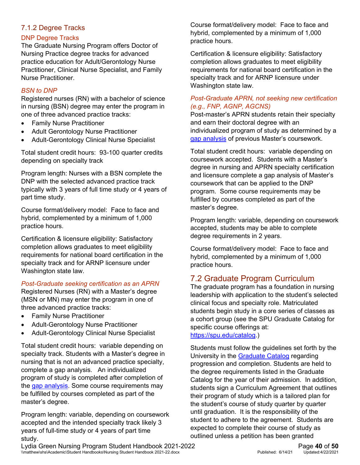#### <span id="page-39-0"></span>7.1.2 Degree Tracks

#### DNP Degree Tracks

The Graduate Nursing Program offers Doctor of Nursing Practice degree tracks for advanced practice education for Adult/Gerontology Nurse Practitioner, Clinical Nurse Specialist, and Family Nurse Practitioner.

#### *BSN to DNP*

Registered nurses (RN) with a bachelor of science in nursing (BSN) degree may enter the program in one of three advanced practice tracks:

- Family Nurse Practitioner
- Adult Gerontology Nurse Practitioner
- Adult-Gerontology Clinical Nurse Specialist

Total student credit hours: 93-100 quarter credits depending on specialty track

Program length: Nurses with a BSN complete the DNP with the selected advanced practice track typically with 3 years of full time study or 4 years of part time study.

Course format/delivery model: Face to face and hybrid, complemented by a minimum of 1,000 practice hours.

Certification & licensure eligibility: Satisfactory completion allows graduates to meet eligibility requirements for national board certification in the specialty track and for ARNP licensure under Washington state law.

#### *Post-Graduate seeking certification as an APRN*

Registered Nurses (RN) with a Master's degree (MSN or MN) may enter the program in one of three advanced practice tracks:

- Family Nurse Practitioner
- Adult-Gerontology Nurse Practitioner
- Adult-Gerontology Clinical Nurse Specialist

Total student credit hours: variable depending on specialty track. Students with a Master's degree in nursing that is not an advanced practice specialty, complete a gap analysis. An individualized program of study is completed after completion of the [gap analysis.](#page-40-2) Some course requirements may be fulfilled by courses completed as part of the master's degree.

Program length: variable, depending on coursework accepted and the intended specialty track likely 3 years of full-time study or 4 years of part time study.

Course format/delivery model: Face to face and hybrid, complemented by a minimum of 1,000 practice hours.

Certification & licensure eligibility: Satisfactory completion allows graduates to meet eligibility requirements for national board certification in the specialty track and for ARNP licensure under Washington state law.

#### *Post-Graduate APRN, not seeking new certification (e.g., FNP, AGNP, AGCNS)*

Post-master's APRN students retain their specialty and earn their doctoral degree with an individualized program of study as determined by a [gap analysis](#page-40-2) of previous Master's coursework.

Total student credit hours: variable depending on coursework accepted. Students with a Master's degree in nursing and APRN specialty certification and licensure complete a gap analysis of Master's coursework that can be applied to the DNP program. Some course requirements may be fulfilled by courses completed as part of the master's degree.

Program length: variable, depending on coursework accepted, students may be able to complete degree requirements in 2 years.

Course format/delivery model: Face to face and hybrid, complemented by a minimum of 1,000 practice hours.

### <span id="page-39-1"></span>7.2 Graduate Program Curriculum

The graduate program has a foundation in nursing leadership with application to the student's selected clinical focus and specialty role. Matriculated students begin study in a core series of classes as a cohort group (see the SPU Graduate Catalog for specific course offerings at:

[https://spu.edu/catalog.](https://spu.edu/catalog))

Students must follow the guidelines set forth by the University in the [Graduate Catalog](https://spu.edu/catalog) regarding progression and completion. Students are held to the degree requirements listed in the Graduate Catalog for the year of their admission. In addition, students sign a Curriculum Agreement that outlines their program of study which is a tailored plan for the student's course of study quarter by quarter until graduation. It is the responsibility of the student to adhere to the agreement. Students are expected to complete their course of study as outlined unless a petition has been granted

Lydia Green Nursing Program Student Handbook 2021-2022<br>
\\matthew\shs\Academic\Student Handbooks\Nursing Student Handbook 2021-22.docx<br>
Published: 6/14/21 Updated:4/22/2021 \\matthew\shs\Academic\Student Handbooks\Nursing Student Handbook 2021-22.docx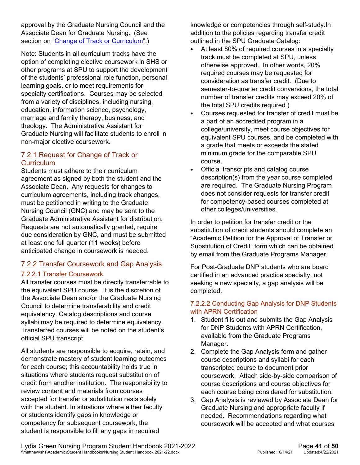approval by the Graduate Nursing Council and the Associate Dean for Graduate Nursing. (See section on ["Change of Track or Curriculum"](#page-40-0).)

Note: Students in all curriculum tracks have the option of completing elective coursework in SHS or other programs at SPU to support the development of the students' professional role function, personal learning goals, or to meet requirements for specialty certifications. Courses may be selected from a variety of disciplines, including nursing, education, information science, psychology, marriage and family therapy, business, and theology. The Administrative Assistant for Graduate Nursing will facilitate students to enroll in non-major elective coursework.

#### <span id="page-40-0"></span>7.2.1 Request for Change of Track or **Curriculum**

Students must adhere to their curriculum agreement as signed by both the student and the Associate Dean. Any requests for changes to curriculum agreements, including track changes, must be petitioned in writing to the Graduate Nursing Council (GNC) and may be sent to the Graduate Administrative Assistant for distribution. Requests are not automatically granted, require due consideration by GNC, and must be submitted at least one full quarter (11 weeks) before anticipated change in coursework is needed.

#### <span id="page-40-1"></span>7.2.2 Transfer Coursework and Gap Analysis

#### 7.2.2.1 Transfer Coursework

All transfer courses must be directly transferrable to the equivalent SPU course. It is the discretion of the Associate Dean and/or the Graduate Nursing Council to determine transferability and credit equivalency. Catalog descriptions and course syllabi may be required to determine equivalency. Transferred courses will be noted on the student's official SPU transcript.

All students are responsible to acquire, retain, and demonstrate mastery of student learning outcomes for each course; this accountability holds true in situations where students request substitution of credit from another institution. The responsibility to review content and materials from courses accepted for transfer or substitution rests solely with the student. In situations where either faculty or students identify gaps in knowledge or competency for subsequent coursework, the student is responsible to fill any gaps in required

knowledge or competencies through self-study.In addition to the policies regarding transfer credit outlined in the SPU Graduate Catalog:

- At least 80% of required courses in a specialty track must be completed at SPU, unless otherwise approved. In other words, 20% required courses may be requested for consideration as transfer credit. (Due to semester-to-quarter credit conversions, the total number of transfer credits may exceed 20% of the total SPU credits required.)
- Courses requested for transfer of credit must be a part of an accredited program in a college/university, meet course objectives for equivalent SPU courses, and be completed with a grade that meets or exceeds the stated minimum grade for the comparable SPU course.
- Official transcripts and catalog course description(s) from the year course completed are required. The Graduate Nursing Program does not consider requests for transfer credit for competency-based courses completed at other colleges/universities.

In order to petition for transfer credit or the substitution of credit students should complete an "Academic Petition for the Approval of Transfer or Substitution of Credit" form which can be obtained by email from the Graduate Programs Manager.

For Post-Graduate DNP students who are board certified in an advanced practice specialty, not seeking a new specialty, a gap analysis will be completed.

#### <span id="page-40-2"></span>7.2.2.2 Conducting Gap Analysis for DNP Students with APRN Certification

- 1. Student fills out and submits the Gap Analysis for DNP Students with APRN Certification, available from the Graduate Programs Manager.
- 2. Complete the Gap Analysis form and gather course descriptions and syllabi for each transcripted course to document prior coursework. Attach side-by-side comparison of course descriptions and course objectives for each course being considered for substitution.
- 3. Gap Analysis is reviewed by Associate Dean for Graduate Nursing and appropriate faculty if needed. Recommendations regarding what coursework will be accepted and what courses

Lydia Green Nursing Program Student Handbook 2021-2022<br>
\\matthew\shs\Academic\Student Handbooks\Nursing Student Handbook 2021-22.docx<br>
Published: 6/14/21 Updated:4/22/2021 \\matthew\shs\Academic\Student Handbooks\Nursing Student Handbook 2021-22.docx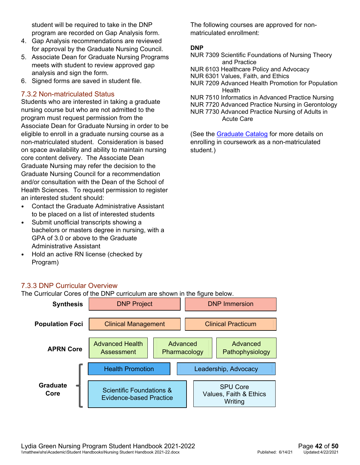student will be required to take in the DNP program are recorded on Gap Analysis form.

- 4. Gap Analysis recommendations are reviewed for approval by the Graduate Nursing Council.
- 5. Associate Dean for Graduate Nursing Programs meets with student to review approved gap analysis and sign the form.
- 6. Signed forms are saved in student file.

#### <span id="page-41-0"></span>7.3.2 Non-matriculated Status

Students who are interested in taking a graduate nursing course but who are not admitted to the program must request permission from the Associate Dean for Graduate Nursing in order to be eligible to enroll in a graduate nursing course as a non-matriculated student. Consideration is based on space availability and ability to maintain nursing core content delivery. The Associate Dean Graduate Nursing may refer the decision to the Graduate Nursing Council for a recommendation and/or consultation with the Dean of the School of Health Sciences. To request permission to register an interested student should:

- Contact the Graduate Administrative Assistant to be placed on a list of interested students
- Submit unofficial transcripts showing a bachelors or masters degree in nursing, with a GPA of 3.0 or above to the Graduate Administrative Assistant
- Hold an active RN license (checked by Program)

The following courses are approved for nonmatriculated enrollment:

#### **DNP**

- NUR 7309 Scientific Foundations of Nursing Theory and Practice
- NUR 6103 Healthcare Policy and Advocacy
- NUR 6301 Values, Faith, and Ethics
- NUR 7209 Advanced Health Promotion for Population **Health**
- NUR 7510 Informatics in Advanced Practice Nursing
- NUR 7720 Advanced Practice Nursing in Gerontology
- NUR 7730 Advanced Practice Nursing of Adults in Acute Care

(See the [Graduate Catalog](https://spu.edu/catalog) for more details on enrolling in coursework as a non-matriculated student.)

#### <span id="page-41-1"></span>7.3.3 DNP Curricular Overview

The Curricular Cores of the DNP curriculum are shown in the figure below.

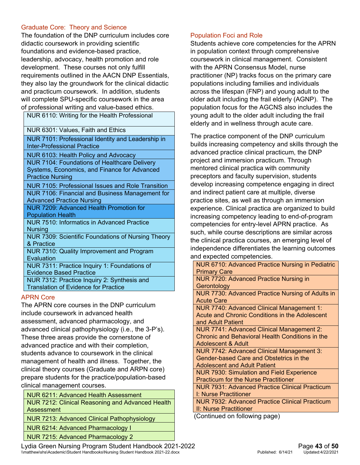#### Graduate Core: Theory and Science

The foundation of the DNP curriculum includes core didactic coursework in providing scientific foundations and evidence-based practice, leadership, advocacy, health promotion and role development. These courses not only fulfill requirements outlined in the AACN DNP Essentials, they also lay the groundwork for the clinical didactic and practicum coursework. In addition, students will complete SPU-specific coursework in the area of professional writing and value-based ethics.

NUR 6110: Writing for the Health Professional

NUR 6301: Values, Faith and Ethics

NUR 7101: Professional Identity and Leadership in Inter-Professional Practice

NUR 6103: Health Policy and Advocacy

NUR 7104: Foundations of Healthcare Delivery Systems, Economics, and Finance for Advanced Practice Nursing

NUR 7105: Professional Issues and Role Transition NUR 7106: Financial and Business Management for Advanced Practice Nursing

NUR 7209: Advanced Health Promotion for Population Health

NUR 7510: Informatics in Advanced Practice **Nursing** 

NUR 7309: Scientific Foundations of Nursing Theory & Practice

NUR 7310: Quality Improvement and Program **Evaluation** 

NUR 7311: Practice Inquiry 1: Foundations of Evidence Based Practice

NUR 7312: Practice Inquiry 2: Synthesis and Translation of Evidence for Practice

#### APRN Core

The APRN core courses in the DNP curriculum include coursework in advanced health assessment, advanced pharmacology, and advanced clinical pathophysiology (i.e., the 3-P's). These three areas provide the cornerstone of advanced practice and with their completion, students advance to coursework in the clinical management of health and illness. Together, the clinical theory courses (Graduate and ARPN core) prepare students for the practice/population-based clinical management courses.

NUR 6211: Advanced Health Assessment NUR 7212: Clinical Reasoning and Advanced Health Assessment

NUR 7213: Advanced Clinical Pathophysiology

NUR 6214: Advanced Pharmacology I

NUR 7215: Advanced Pharmacology 2

Population Foci and Role

coursework in clinical management. Consistent with the APRN Consensus Model, nurse practitioner (NP) tracks focus on the primary care populations including families and individuals across the lifespan (FNP) and young adult to the older adult including the frail elderly (AGNP). The population focus for the AGCNS also includes the young adult to the older adult including the frail elderly and in wellness through acute care.

Students achieve core competencies for the APRN in population context through comprehensive

The practice component of the DNP curriculum builds increasing competency and skills through the advanced practice clinical practicum, the DNP project and immersion practicum. Through mentored clinical practica with community preceptors and faculty supervision, students develop increasing competence engaging in direct and indirect patient care at multiple, diverse practice sites, as well as through an immersion experience. Clinical practica are organized to build increasing competency leading to end-of-program competencies for entry-level APRN practice. As such, while course descriptions are similar across the clinical practica courses, an emerging level of independence differentiates the learning outcomes and expected competencies.

| NUR 6710: Advanced Practice Nursing in Pediatric      |
|-------------------------------------------------------|
| <b>Primary Care</b>                                   |
| <b>NUR 7720: Advanced Practice Nursing in</b>         |
| Gerontology                                           |
| NUR 7730: Advanced Practice Nursing of Adults in      |
| <b>Acute Care</b>                                     |
| NUR 7740: Advanced Clinical Management 1:             |
| Acute and Chronic Conditions in the Adolescent        |
| and Adult Patient                                     |
| NUR 7741: Advanced Clinical Management 2:             |
| Chronic and Behavioral Health Conditions in the       |
| <b>Adolescent &amp; Adult</b>                         |
| <b>NUR 7742: Advanced Clinical Management 3:</b>      |
| Gender-based Care and Obstetrics in the               |
| <b>Adolescent and Adult Patient</b>                   |
| <b>NUR 7930: Simulation and Field Experience</b>      |
| <b>Practicum for the Nurse Practitioner</b>           |
| <b>NUR 7931: Advanced Practice Clinical Practicum</b> |
| I: Nurse Practitioner                                 |
| <b>NUR 7932: Advanced Practice Clinical Practicum</b> |
| II: Nurse Practitioner                                |
| Continued on following page)                          |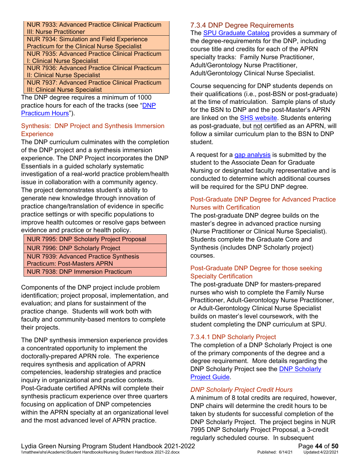NUR 7933: Advanced Practice Clinical Practicum III: Nurse Practitioner

NUR 7934: Simulation and Field Experience Practicum for the Clinical Nurse Specialist NUR 7935: Advanced Practice Clinical Practicum I: Clinical Nurse Specialist

NUR 7936: Advanced Practice Clinical Practicum II: Clinical Nurse Specialist

NUR 7937: Advanced Practice Clinical Practicum III: Clinical Nurse Specialist

The DNP degree requires a minimum of 1000 practice hours for each of the tracks (see "DNP [Practicum Hours"](#page-44-0)).

#### Synthesis: DNP Project and Synthesis Immersion **Experience**

The DNP curriculum culminates with the completion of the DNP project and a synthesis immersion experience. The DNP Project incorporates the DNP Essentials in a guided scholarly systematic investigation of a real-world practice problem/health issue in collaboration with a community agency. The project demonstrates student's ability to generate new knowledge through innovation of practice change/translation of evidence in specific practice settings or with specific populations to improve health outcomes or resolve gaps between evidence and practice or health policy.

NUR 7995: DNP Scholarly Project Proposal NUR 7996: DNP Scholarly Project NUR 7939: Advanced Practice Synthesis Practicum: Post-Masters APRN NUR 7938: DNP Immersion Practicum

Components of the DNP project include problem identification; project proposal, implementation, and evaluation; and plans for sustainment of the practice change. Students will work both with faculty and community-based mentors to complete their projects.

The DNP synthesis immersion experience provides a concentrated opportunity to implement the doctorally-prepared APRN role. The experience requires synthesis and application of APRN competencies, leadership strategies and practice inquiry in organizational and practice contexts. Post-Graduate certified APRNs will complete their synthesis practicum experience over three quarters focusing on application of DNP competencies within the APRN specialty at an organizational level and the most advanced level of APRN practice.

#### <span id="page-43-0"></span>7.3.4 DNP Degree Requirements

The [SPU Graduate Catalog](https://spu.edu/catalog) provides a summary of the degree-requirements for the DNP, including course title and credits for each of the APRN specialty tracks: Family Nurse Practitioner, Adult/Gerontology Nurse Practitioner, Adult/Gerontology Clinical Nurse Specialist.

Course sequencing for DNP students depends on their qualifications (i.e., post-BSN or post-graduate) at the time of matriculation. Sample plans of study for the BSN to DNP and the post-Master's APRN are linked on the [SHS website.](http://spu.edu/academics/school-of-health-sciences/graduate-nursing-program/dnp-pathways) Students entering as post-graduate, but not certified as an APRN, will follow a similar curriculum plan to the BSN to DNP student.

A request for a [gap analysis](#page-40-2) is submitted by the student to the Associate Dean for Graduate Nursing or designated faculty representative and is conducted to determine which additional courses will be required for the SPU DNP degree.

#### Post-Graduate DNP Degree for Advanced Practice Nurses with Certification

The post-graduate DNP degree builds on the master's degree in advanced practice nursing (Nurse Practitioner or Clinical Nurse Specialist). Students complete the Graduate Core and Synthesis (includes DNP Scholarly project) courses.

#### Post-Graduate DNP Degree for those seeking Specialty Certification

The post-graduate DNP for masters-prepared nurses who wish to complete the Family Nurse Practitioner, Adult-Gerontology Nurse Practitioner, or Adult-Gerontology Clinical Nurse Specialist builds on master's level coursework, with the student completing the DNP curriculum at SPU.

#### 7.3.4.1 DNP Scholarly Project

The completion of a DNP Scholarly Project is one of the primary components of the degree and a degree requirement. More details regarding the DNP Scholarly Project see the [DNP Scholarly](https://wiki.spu.edu/x/l4BXDQ)  [Project Guide.](https://wiki.spu.edu/x/l4BXDQ)

#### *DNP Scholarly Project Credit Hours*

A minimum of 8 total credits are required, however, DNP chairs will determine the credit hours to be taken by students for successful completion of the DNP Scholarly Project. The project begins in NUR 7995 DNP Scholarly Project Proposal, a 3-credit regularly scheduled course. In subsequent

Lydia Green Nursing Program Student Handbook 2021-2022<br>
\\matthew\shs\Academic\Student Handbooks\Nursing Student Handbook 2021-22.docx<br>
Published: 6/14/21 Updated:4/22/2021 \\matthew\shs\Academic\Student Handbooks\Nursing Student Handbook 2021-22.docx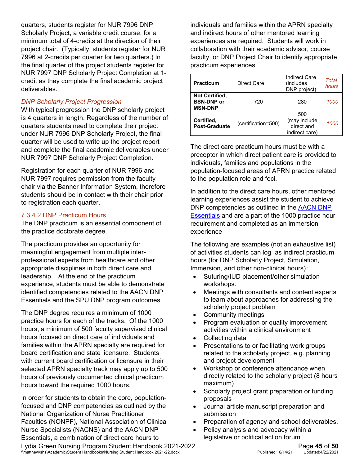quarters, students register for NUR 7996 DNP Scholarly Project, a variable credit course, for a minimum total of 4-credits at the direction of their project chair. (Typically, students register for NUR 7996 at 2-credits per quarter for two quarters.) In the final quarter of the project students register for NUR 7997 DNP Scholarly Project Completion at 1 credit as they complete the final academic project deliverables.

#### *DNP Scholarly Project Progression*

With typical progression the DNP scholarly project is 4 quarters in length. Regardless of the number of quarters students need to complete their project under NUR 7996 DNP Scholarly Project, the final quarter will be used to write up the project report and complete the final academic deliverables under NUR 7997 DNP Scholarly Project Completion.

Registration for each quarter of NUR 7996 and NUR 7997 requires permission from the faculty chair via the Banner Information System, therefore students should be in contact with their chair prior to registration each quarter.

#### <span id="page-44-0"></span>7.3.4.2 DNP Practicum Hours

The DNP practicum is an essential component of the practice doctorate degree.

The practicum provides an opportunity for meaningful engagement from multiple interprofessional experts from healthcare and other appropriate disciplines in both direct care and leadership. At the end of the practicum experience, students must be able to demonstrate identified competencies related to the AACN DNP Essentials and the SPU DNP program outcomes.

The DNP degree requires a minimum of 1000 practice hours for each of the tracks. Of the 1000 hours, a minimum of 500 faculty supervised clinical hours focused on direct care of individuals and families within the APRN specialty are required for board certification and state licensure. Students with current board certification or licensure in their selected APRN specialty track may apply up to 500 hours of previously documented clinical practicum hours toward the required 1000 hours.

In order for students to obtain the core, populationfocused and DNP competencies as outlined by the National Organization of Nurse Practitioner Faculties (NONPF), National Association of Clinical Nurse Specialists (NACNS) and the AACN DNP Essentials, a combination of direct care hours to

individuals and families within the APRN specialty and indirect hours of other mentored learning experiences are required. Students will work in collaboration with their academic advisor, course faculty, or DNP Project Chair to identify appropriate practicum experiences.

| <b>Practicum</b>                                             | Direct Care |                                                     | Total<br>hours |
|--------------------------------------------------------------|-------------|-----------------------------------------------------|----------------|
| Not Certified,<br><b>BSN-DNP or</b><br>720<br><b>MSN-DNP</b> |             | 280                                                 | 1000           |
| Certified,<br>(certification=500)<br><b>Post-Graduate</b>    |             | 500<br>(may include<br>direct and<br>indirect care) | 1000           |

The direct care practicum hours must be with a preceptor in which direct patient care is provided to individuals, families and populations in the population-focused areas of APRN practice related to the population role and foci.

In addition to the direct care hours, other mentored learning experiences assist the student to achieve DNP competencies as outlined in the [AACN DNP](http://www.aacnnursing.org/Portals/42/Publications/DNPEssentials.pdf)  [Essentials](http://www.aacnnursing.org/Portals/42/Publications/DNPEssentials.pdf) and are a part of the 1000 practice hour requirement and completed as an immersion experience

The following are examples (not an exhaustive list) of activities students can log as indirect practicum hours (for DNP Scholarly Project, Simulation, Immersion, and other non-clinical hours)*:* 

- Suturing/IUD placement/other simulation workshops.
- Meetings with consultants and content experts to learn about approaches for addressing the scholarly project problem
- Community meetings
- Program evaluation or quality improvement activities within a clinical environment
- Collecting data
- Presentations to or facilitating work groups related to the scholarly project, e.g. planning and project development
- Workshop or conference attendance when directly related to the scholarly project (8 hours maximum)
- Scholarly project grant preparation or funding proposals
- Journal article manuscript preparation and submission
- Preparation of agency and school deliverables.
- Policy analysis and advocacy within a legislative or political action forum

Lydia Green Nursing Program Student Handbook 2021-2022<br>
\\matthew\shs\Academic\Student Handbooks\Nursing Student Handbook 2021-22.docx<br>
Published: 6/14/21 Updated:4/22/2021 \\matthew\shs\Academic\Student Handbooks\Nursing Student Handbook 2021-22.docx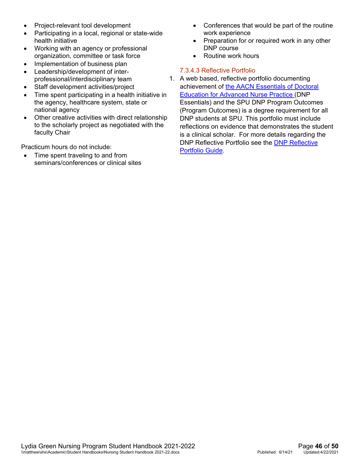- Project-relevant tool development
- Participating in a local, regional or state-wide health initiative
- Working with an agency or professional organization, committee or task force
- Implementation of business plan
- Leadership/development of interprofessional/interdisciplinary team
- Staff development activities/project
- Time spent participating in a health initiative in the agency, healthcare system, state or national agency
- Other creative activities with direct relationship to the scholarly project as negotiated with the faculty Chair

Practicum hours do not include:

Time spent traveling to and from seminars/conferences or clinical sites

- Conferences that would be part of the routine work experience
- Preparation for or required work in any other DNP course
- Routine work hours

#### 7.3.4.3 Reflective Portfolio

1. A web based, reflective portfolio documenting achievement of [the AACN Essentials of Doctoral](http://www.aacnnursing.org/Portals/42/Publications/DNPEssentials.pdf)  [Education for Advanced Nurse Practice](http://www.aacnnursing.org/Portals/42/Publications/DNPEssentials.pdf) (DNP Essentials) and [the SPU DNP Program Outcomes](https://canvas.spu.edu/courses/30507/pages/dnp-program-outcomes) (Program Outcomes) is a degree requirement for all DNP students at SPU. This portfolio must include reflections on evidence that demonstrates the student is a clinical scholar. For more details regarding the DNP Reflective Portfolio see the [DNP Reflective](https://wiki.spu.edu/x/PQLPDQ)  [Portfolio Guide.](https://wiki.spu.edu/x/PQLPDQ)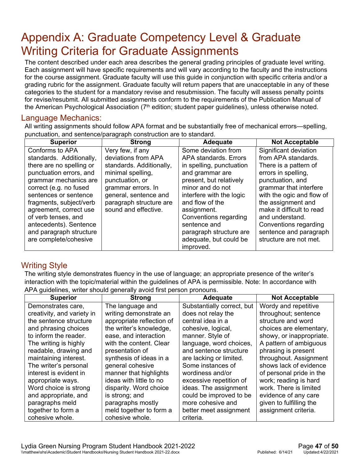## <span id="page-46-0"></span>Appendix A: Graduate Competency Level & Graduate Writing Criteria for Graduate Assignments

The content described under each area describes the general grading principles of graduate level writing. Each assignment will have specific requirements and will vary according to the faculty and the instructions for the course assignment. Graduate faculty will use this guide in conjunction with specific criteria and/or a grading rubric for the assignment. Graduate faculty will return papers that are unacceptable in any of these categories to the student for a mandatory revise and resubmission. The faculty will assess penalty points for revise/resubmit. All submitted assignments conform to the requirements of the Publication Manual of the American Psychological Association  $(7<sup>th</sup>$  edition; student paper quidelines), unless otherwise noted.

#### <span id="page-46-1"></span>Language Mechanics:

All writing assignments should follow APA format and be substantially free of mechanical errors—spelling, punctuation, and sentence/paragraph construction are to standard.

| <b>Superior</b>          | <b>Strong</b>            | <b>Adequate</b>          | <b>Not Acceptable</b>     |
|--------------------------|--------------------------|--------------------------|---------------------------|
| Conforms to APA          | Very few, if any         | Some deviation from      | Significant deviation     |
| standards. Additionally, | deviations from APA      | APA standards, Errors    | from APA standards.       |
| there are no spelling or | standards. Additionally, | in spelling, punctuation | There is a pattern of     |
| punctuation errors, and  | minimal spelling,        | and grammar are          | errors in spelling,       |
| grammar mechanics are    | punctuation, or          | present, but relatively  | punctuation, and          |
| correct (e.g. no fused   | grammar errors. In       | minor and do not         | grammar that interfere    |
| sentences or sentence    | general, sentence and    | interfere with the logic | with the ogic and flow of |
| fragments, subject/verb  | paragraph structure are  | and flow of the          | the assignment and        |
| agreement, correct use   | sound and effective.     | assignment.              | make it difficult to read |
| of verb tenses, and      |                          | Conventions regarding    | and understand.           |
| antecedents). Sentence   |                          | sentence and             | Conventions regarding     |
| and paragraph structure  |                          | paragraph structure are  | sentence and paragraph    |
| are complete/cohesive    |                          | adequate, but could be   | structure are not met.    |
|                          |                          | improved.                |                           |

#### <span id="page-46-2"></span>Writing Style

The writing style demonstrates fluency in the use of language; an appropriate presence of the writer's interaction with the topic/material within the guidelines of APA is permissible. Note: In accordance with APA guidelines, writer should generally avoid first person pronouns.

| , galacillos, milet cheala generally avela life, percent prenoanol<br><b>Superior</b><br><b>Adequate</b><br><b>Not Acceptable</b><br><b>Strong</b> |                           |                            |                          |  |
|----------------------------------------------------------------------------------------------------------------------------------------------------|---------------------------|----------------------------|--------------------------|--|
|                                                                                                                                                    |                           |                            |                          |  |
| Demonstrates care,                                                                                                                                 | The language and          | Substantially correct, but | Wordy and repetitive     |  |
| creativity, and variety in                                                                                                                         | writing demonstrate an    | does not relay the         | throughout; sentence     |  |
| the sentence structure                                                                                                                             | appropriate reflection of | central idea in a          | structure and word       |  |
| and phrasing choices                                                                                                                               | the writer's knowledge,   | cohesive, logical,         | choices are elementary,  |  |
| to inform the reader.                                                                                                                              | ease, and interaction     | manner. Style of           | showy, or inappropriate. |  |
| The writing is highly                                                                                                                              | with the content. Clear   | language, word choices,    | A pattern of ambiguous   |  |
| readable, drawing and                                                                                                                              | presentation of           | and sentence structure     | phrasing is present      |  |
| maintaining interest.                                                                                                                              | synthesis of ideas in a   | are lacking or limited.    | throughout. Assignment   |  |
| The writer's personal                                                                                                                              | general cohesive          | Some instances of          | shows lack of evidence   |  |
| interest is evident in                                                                                                                             | manner that highlights    | wordiness and/or           | of personal pride in the |  |
| appropriate ways.                                                                                                                                  | ideas with little to no   | excessive repetition of    | work; reading is hard    |  |
| Word choice is strong                                                                                                                              | disparity. Word choice    | ideas. The assignment      | work. There is limited   |  |
| and appropriate, and                                                                                                                               | is strong; and            | could be improved to be    | evidence of any care     |  |
| paragraphs meld                                                                                                                                    | paragraphs mostly         | more cohesive and          | given to fulfilling the  |  |
| together to form a                                                                                                                                 | meld together to form a   | better meet assignment     | assignment criteria.     |  |
| cohesive whole.                                                                                                                                    | cohesive whole.           | criteria.                  |                          |  |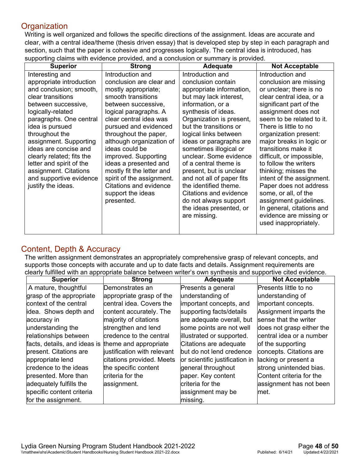#### <span id="page-47-0"></span>**Organization**

Writing is well organized and follows the specific directions of the assignment. Ideas are accurate and clear, with a central idea/theme (thesis driven essay) that is developed step by step in each paragraph and section, such that the paper is cohesive and progresses logically. The central idea is introduced, has supporting claims with evidence provided, and a conclusion or summary is provided.

| <b>Superior</b>           | <b>Strong</b>             | Adequate                  | <b>Not Acceptable</b>     |
|---------------------------|---------------------------|---------------------------|---------------------------|
| Interesting and           | Introduction and          | Introduction and          | Introduction and          |
| appropriate introduction  | conclusion are clear and  | conclusion contain        | conclusion are missing    |
| and conclusion; smooth,   | mostly appropriate;       | appropriate information,  | or unclear; there is no   |
| clear transitions         | smooth transitions        | but may lack interest,    | clear central idea, or a  |
| between successive,       | between successive,       | information, or a         | significant part of the   |
| logically-related         | logical paragraphs. A     | synthesis of ideas.       | assignment does not       |
| paragraphs. One central   | clear central idea was    | Organization is present,  | seem to be related to it. |
| idea is pursued           | pursued and evidenced     | but the transitions or    | There is little to no     |
| throughout the            | throughout the paper,     | logical links between     | organization present:     |
| assignment. Supporting    | although organization of  | ideas or paragraphs are   | major breaks in logic or  |
| ideas are concise and     | ideas could be            | sometimes illogical or    | transitions make it       |
| clearly related; fits the | improved. Supporting      | unclear. Some evidence    | difficult, or impossible, |
| letter and spirit of the  | ideas a presented and     | of a central theme is     | to follow the writers     |
| assignment. Citations     | mostly fit the letter and | present, but is unclear   | thinking; misses the      |
| and supportive evidence   | spirit of the assignment. | and not all of paper fits | intent of the assignment. |
| justify the ideas.        | Citations and evidence    | the identified theme.     | Paper does not address    |
|                           | support the ideas         | Citations and evidence    | some, or all, of the      |
|                           | presented.                | do not always support     | assignment guidelines.    |
|                           |                           | the ideas presented, or   | In general, citations and |
|                           |                           | are missing.              | evidence are missing or   |
|                           |                           |                           | used inappropriately.     |
|                           |                           |                           |                           |

#### <span id="page-47-1"></span>Content, Depth & Accuracy

The written assignment demonstrates an appropriately comprehensive grasp of relevant concepts, and supports those concepts with accurate and up to date facts and details. Assignment requirements are clearly fulfilled with an appropriate balance between writer's own synthesis and supportive cited evidence.

| <b>Superior</b>                                    | <b>Strong</b>               | <b>Adequate</b>                | <b>Not Acceptable</b>     |
|----------------------------------------------------|-----------------------------|--------------------------------|---------------------------|
| A mature, thoughtful                               | Demonstrates an             | Presents a general             | Presents little to no     |
| grasp of the appropriate                           | appropriate grasp of the    | understanding of               | understanding of          |
| context of the central                             | central idea. Covers the    | important concepts, and        | important concepts.       |
| idea. Shows depth and                              | content accurately. The     | supporting facts/details       | Assignment imparts the    |
| accuracy in                                        | majority of citations       | are adequate overall, but      | sense that the writer     |
| understanding the                                  | strengthen and lend         | some points are not well       | does not grasp either the |
| relationships between                              | credence to the central     | illustrated or supported.      | central idea or a number  |
| facts, details, and ideas is theme and appropriate |                             | Citations are adequate         | of the supporting         |
| present. Citations are                             | justification with relevant | but do not lend credence       | concepts. Citations are   |
| appropriate lend                                   | citations provided. Meets   | or scientific justification in | lacking or present a      |
| credence to the ideas                              | the specific content        | general throughout             | strong unintended bias.   |
| presented. More than                               | criteria for the            | paper. Key content             | Content criteria for the  |
| adequately fulfills the                            | assignment.                 | criteria for the               | assignment has not been   |
| specific content criteria                          |                             | assignment may be              | lmet.                     |
| for the assignment.                                |                             | missing.                       |                           |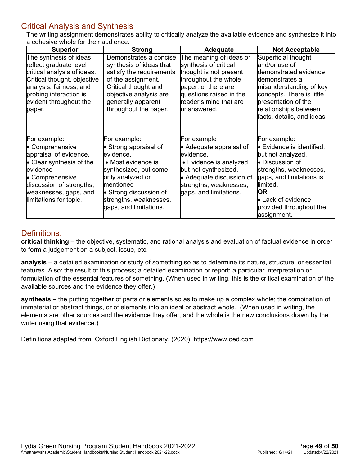#### <span id="page-48-0"></span>Critical Analysis and Synthesis

The writing assignment demonstrates ability to critically analyze the available evidence and synthesize it into a cohesive whole for their audience.

| <b>Superior</b>                                                                                                                                                                                         | <b>Strong</b>                                                                                                                                                                                                                    | <b>Adequate</b>                                                                                                                                                                                | <b>Not Acceptable</b>                                                                                                                                                                                                                                    |
|---------------------------------------------------------------------------------------------------------------------------------------------------------------------------------------------------------|----------------------------------------------------------------------------------------------------------------------------------------------------------------------------------------------------------------------------------|------------------------------------------------------------------------------------------------------------------------------------------------------------------------------------------------|----------------------------------------------------------------------------------------------------------------------------------------------------------------------------------------------------------------------------------------------------------|
| The synthesis of ideas<br>reflect graduate level<br>critical analysis of ideas.<br>Critical thought, objective<br>analysis, fairness, and<br>probing interaction is<br>evident throughout the<br>paper. | Demonstrates a concise<br>synthesis of ideas that<br>satisfy the requirements<br>of the assignment.<br>Critical thought and<br>objective analysis are<br>generally apparent<br>throughout the paper.                             | The meaning of ideas or<br>synthesis of critical<br>thought is not present<br>throughout the whole<br>paper, or there are<br>questions raised in the<br>reader's mind that are<br>lunanswered. | Superficial thought<br>and/or use of<br>demonstrated evidence<br>demonstrates a<br>misunderstanding of key<br>concepts. There is little<br>presentation of the<br>relationships between<br>facts, details, and ideas.                                    |
| For example:<br>• Comprehensive<br>appraisal of evidence.<br>• Clear synthesis of the<br>evidence<br>• Comprehensive<br>discussion of strengths,<br>weaknesses, gaps, and<br>limitations for topic.     | For example:<br>$\bullet$ Strong appraisal of<br>evidence.<br>• Most evidence is<br>synthesized, but some<br>only analyzed or<br>mentioned<br>$\bullet$ Strong discussion of<br>strengths, weaknesses,<br>gaps, and limitations. | For example<br>• Adequate appraisal of<br>evidence.<br>• Evidence is analyzed<br>but not synthesized.<br>• Adequate discussion of<br>strengths, weaknesses,<br>gaps, and limitations.          | For example:<br>$\bullet$ Evidence is identified,<br>but not analyzed.<br>$\bullet$ Discussion of<br>strengths, weaknesses,<br>gaps, and limitations is<br>limited.<br><b>OR</b><br>$\bullet$ Lack of evidence<br>provided throughout the<br>assignment. |

#### <span id="page-48-1"></span>Definitions:

**critical thinking** – the objective, systematic, and rational analysis and evaluation of factual evidence in order to form a judgement on a subject, issue, etc.

**analysis** – a detailed examination or study of something so as to determine its nature, structure, or essential features. Also: the result of this process; a detailed examination or report; a particular interpretation or formulation of the essential features of something. (When used in writing, this is the critical examination of the available sources and the evidence they offer.)

**synthesis** – the putting together of parts or elements so as to make up a complex whole; the combination of immaterial or abstract things, or of elements into an ideal or abstract whole. (When used in writing, the elements are other sources and the evidence they offer, and the whole is the new conclusions drawn by the writer using that evidence.)

Definitions adapted from: Oxford English Dictionary. (2020). https://www.oed.com